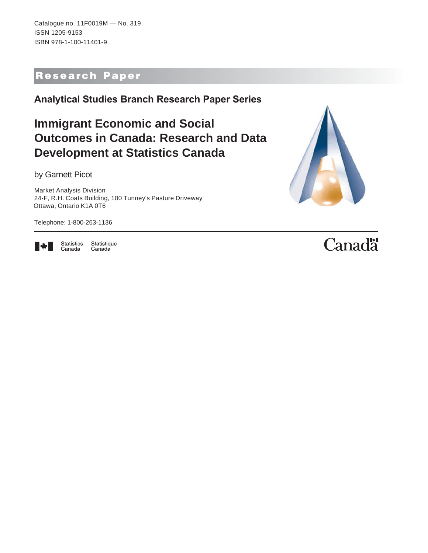Catalogue no. 11F0019M — No. 319 ISSN 1205-9153 ISBN 978-1-100-11401-9

### Research Paper

**Analytical Studies Branch Research Paper Series**

## **Immigrant Economic and Social Outcomes in Canada: Research and Data Development at Statistics Canada**

by Garnett Picot

Market Analysis Division 24-F, R.H. Coats Building, 100 Tunney's Pasture Driveway Ottawa, Ontario K1A 0T6

Telephone: 1-800-263-1136



Statistics<br>Canada Statistique Canada

# Canadä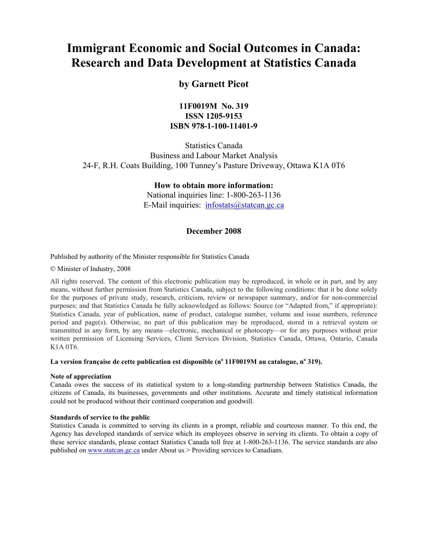### **Immigrant Economic and Social Outcomes in Canada: Research and Data Development at Statistics Canada**

#### **by Garnett Picot**

#### **11F0019M No. 319 ISSN 1205-9153 ISBN 978-1-100-11401-9**

Statistics Canada Business and Labour Market Analysis 24-F, R.H. Coats Building, 100 Tunney's Pasture Driveway, Ottawa K1A 0T6

#### **How to obtain more information:**

National inquiries line: 1-800-263-1136 E-Mail inquiries: infostats@statcan.gc.ca

#### **December 2008**

#### Published by authority of the Minister responsible for Statistics Canada

© Minister of Industry, 2008

All rights reserved. The content of this electronic publication may be reproduced, in whole or in part, and by any means, without further permission from Statistics Canada, subject to the following conditions: that it be done solely for the purposes of private study, research, criticism, review or newspaper summary, and/or for non-commercial purposes; and that Statistics Canada be fully acknowledged as follows: Source (or "Adapted from," if appropriate): Statistics Canada, year of publication, name of product, catalogue number, volume and issue numbers, reference period and page(s). Otherwise, no part of this publication may be reproduced, stored in a retrieval system or transmitted in any form, by any means—electronic, mechanical or photocopy—or for any purposes without prior written permission of Licensing Services, Client Services Division, Statistics Canada, Ottawa, Ontario, Canada K1A 0T6.

#### La version française de cette publication est disponible (n<sup>o</sup> 11F0019M au catalogue, n<sup>o</sup> 319).

#### **Note of appreciation**

Canada owes the success of its statistical system to a long-standing partnership between Statistics Canada, the citizens of Canada, its businesses, governments and other institutions. Accurate and timely statistical information could not be produced without their continued cooperation and goodwill.

#### **Standards of service to the public**

Statistics Canada is committed to serving its clients in a prompt, reliable and courteous manner. To this end, the Agency has developed standards of service which its employees observe in serving its clients. To obtain a copy of these service standards, please contact Statistics Canada toll free at 1-800-263-1136. The service standards are also published on www.statcan.gc.ca under About us > Providing services to Canadians.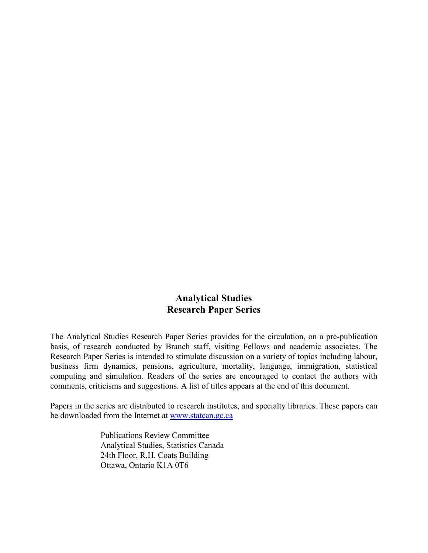#### **Analytical Studies Research Paper Series**

The Analytical Studies Research Paper Series provides for the circulation, on a pre-publication basis, of research conducted by Branch staff, visiting Fellows and academic associates. The Research Paper Series is intended to stimulate discussion on a variety of topics including labour, business firm dynamics, pensions, agriculture, mortality, language, immigration, statistical computing and simulation. Readers of the series are encouraged to contact the authors with comments, criticisms and suggestions. A list of titles appears at the end of this document.

Papers in the series are distributed to research institutes, and specialty libraries. These papers can be downloaded from the Internet at www.statcan.gc.ca

> Publications Review Committee Analytical Studies, Statistics Canada 24th Floor, R.H. Coats Building Ottawa, Ontario K1A 0T6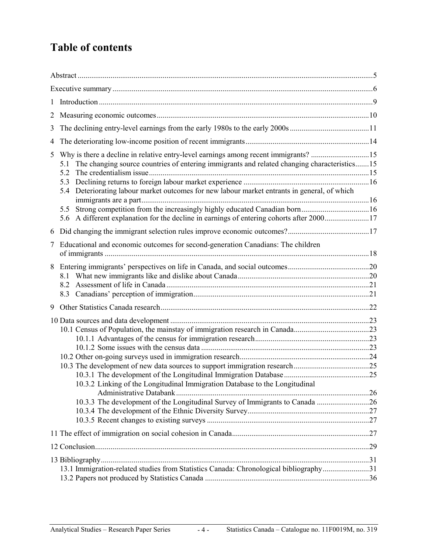### **Table of contents**

| $\mathbf{1}$ |                                                                                                                                                                                                                                                                                                                                                                                            |  |
|--------------|--------------------------------------------------------------------------------------------------------------------------------------------------------------------------------------------------------------------------------------------------------------------------------------------------------------------------------------------------------------------------------------------|--|
| 2            |                                                                                                                                                                                                                                                                                                                                                                                            |  |
| 3            |                                                                                                                                                                                                                                                                                                                                                                                            |  |
| 4            |                                                                                                                                                                                                                                                                                                                                                                                            |  |
| 5            | Why is there a decline in relative entry-level earnings among recent immigrants? 15<br>The changing source countries of entering immigrants and related changing characteristics15<br>5.1<br>5.2<br>5.3<br>5.4 Deteriorating labour market outcomes for new labour market entrants in general, of which<br>Strong competition from the increasingly highly educated Canadian born16<br>5.5 |  |
| 6            |                                                                                                                                                                                                                                                                                                                                                                                            |  |
| 7            | Educational and economic outcomes for second-generation Canadians: The children                                                                                                                                                                                                                                                                                                            |  |
| 8            | 8.2                                                                                                                                                                                                                                                                                                                                                                                        |  |
| 9            |                                                                                                                                                                                                                                                                                                                                                                                            |  |
|              | 10.3.2 Linking of the Longitudinal Immigration Database to the Longitudinal<br>10.3.3 The development of the Longitudinal Survey of Immigrants to Canada 26                                                                                                                                                                                                                                |  |
|              |                                                                                                                                                                                                                                                                                                                                                                                            |  |
|              |                                                                                                                                                                                                                                                                                                                                                                                            |  |
|              | 13.1 Immigration-related studies from Statistics Canada: Chronological bibliography31                                                                                                                                                                                                                                                                                                      |  |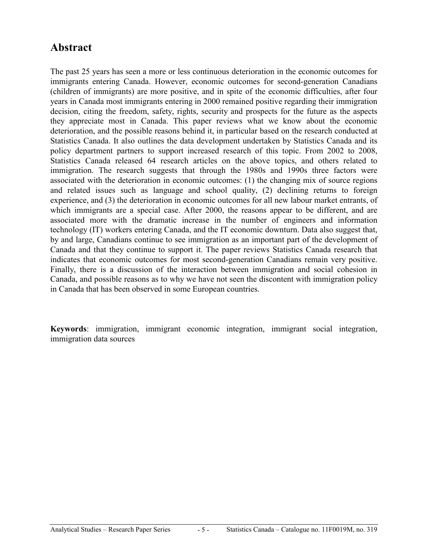### <span id="page-4-0"></span>**Abstract**

The past 25 years has seen a more or less continuous deterioration in the economic outcomes for immigrants entering Canada. However, economic outcomes for second-generation Canadians (children of immigrants) are more positive, and in spite of the economic difficulties, after four years in Canada most immigrants entering in 2000 remained positive regarding their immigration decision, citing the freedom, safety, rights, security and prospects for the future as the aspects they appreciate most in Canada. This paper reviews what we know about the economic deterioration, and the possible reasons behind it, in particular based on the research conducted at Statistics Canada. It also outlines the data development undertaken by Statistics Canada and its policy department partners to support increased research of this topic. From 2002 to 2008, Statistics Canada released 64 research articles on the above topics, and others related to immigration. The research suggests that through the 1980s and 1990s three factors were associated with the deterioration in economic outcomes: (1) the changing mix of source regions and related issues such as language and school quality, (2) declining returns to foreign experience, and (3) the deterioration in economic outcomes for all new labour market entrants, of which immigrants are a special case. After 2000, the reasons appear to be different, and are associated more with the dramatic increase in the number of engineers and information technology (IT) workers entering Canada, and the IT economic downturn. Data also suggest that, by and large, Canadians continue to see immigration as an important part of the development of Canada and that they continue to support it. The paper reviews Statistics Canada research that indicates that economic outcomes for most second-generation Canadians remain very positive. Finally, there is a discussion of the interaction between immigration and social cohesion in Canada, and possible reasons as to why we have not seen the discontent with immigration policy in Canada that has been observed in some European countries.

**Keywords**: immigration, immigrant economic integration, immigrant social integration, immigration data sources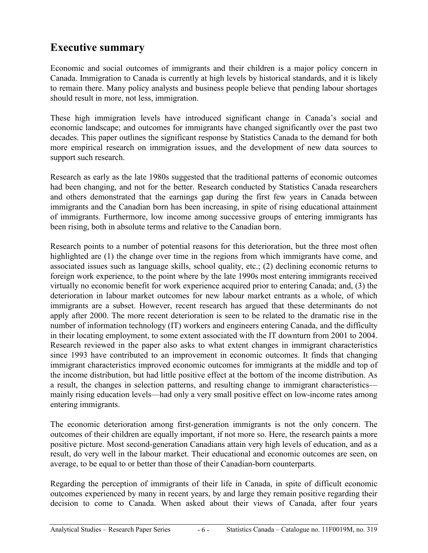### <span id="page-5-0"></span>**Executive summary**

Economic and social outcomes of immigrants and their children is a major policy concern in Canada. Immigration to Canada is currently at high levels by historical standards, and it is likely to remain there. Many policy analysts and business people believe that pending labour shortages should result in more, not less, immigration.

These high immigration levels have introduced significant change in Canada's social and economic landscape; and outcomes for immigrants have changed significantly over the past two decades. This paper outlines the significant response by Statistics Canada to the demand for both more empirical research on immigration issues, and the development of new data sources to support such research.

Research as early as the late 1980s suggested that the traditional patterns of economic outcomes had been changing, and not for the better. Research conducted by Statistics Canada researchers and others demonstrated that the earnings gap during the first few years in Canada between immigrants and the Canadian born has been increasing, in spite of rising educational attainment of immigrants. Furthermore, low income among successive groups of entering immigrants has been rising, both in absolute terms and relative to the Canadian born.

Research points to a number of potential reasons for this deterioration, but the three most often highlighted are (1) the change over time in the regions from which immigrants have come, and associated issues such as language skills, school quality, etc.; (2) declining economic returns to foreign work experience, to the point where by the late 1990s most entering immigrants received virtually no economic benefit for work experience acquired prior to entering Canada; and, (3) the deterioration in labour market outcomes for new labour market entrants as a whole, of which immigrants are a subset. However, recent research has argued that these determinants do not apply after 2000. The more recent deterioration is seen to be related to the dramatic rise in the number of information technology (IT) workers and engineers entering Canada, and the difficulty in their locating employment, to some extent associated with the IT downturn from 2001 to 2004. Research reviewed in the paper also asks to what extent changes in immigrant characteristics since 1993 have contributed to an improvement in economic outcomes. It finds that changing immigrant characteristics improved economic outcomes for immigrants at the middle and top of the income distribution, but had little positive effect at the bottom of the income distribution. As a result, the changes in selection patterns, and resulting change to immigrant characteristics mainly rising education levels—had only a very small positive effect on low-income rates among entering immigrants.

The economic deterioration among first-generation immigrants is not the only concern. The outcomes of their children are equally important, if not more so. Here, the research paints a more positive picture. Most second-generation Canadians attain very high levels of education, and as a result, do very well in the labour market. Their educational and economic outcomes are seen, on average, to be equal to or better than those of their Canadian-born counterparts.

Regarding the perception of immigrants of their life in Canada, in spite of difficult economic outcomes experienced by many in recent years, by and large they remain positive regarding their decision to come to Canada. When asked about their views of Canada, after four years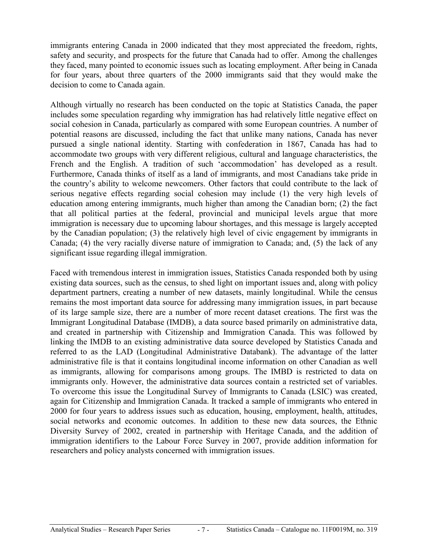immigrants entering Canada in 2000 indicated that they most appreciated the freedom, rights, safety and security, and prospects for the future that Canada had to offer. Among the challenges they faced, many pointed to economic issues such as locating employment. After being in Canada for four years, about three quarters of the 2000 immigrants said that they would make the decision to come to Canada again.

Although virtually no research has been conducted on the topic at Statistics Canada, the paper includes some speculation regarding why immigration has had relatively little negative effect on social cohesion in Canada, particularly as compared with some European countries. A number of potential reasons are discussed, including the fact that unlike many nations, Canada has never pursued a single national identity. Starting with confederation in 1867, Canada has had to accommodate two groups with very different religious, cultural and language characteristics, the French and the English. A tradition of such 'accommodation' has developed as a result. Furthermore, Canada thinks of itself as a land of immigrants, and most Canadians take pride in the country's ability to welcome newcomers. Other factors that could contribute to the lack of serious negative effects regarding social cohesion may include (1) the very high levels of education among entering immigrants, much higher than among the Canadian born; (2) the fact that all political parties at the federal, provincial and municipal levels argue that more immigration is necessary due to upcoming labour shortages, and this message is largely accepted by the Canadian population; (3) the relatively high level of civic engagement by immigrants in Canada; (4) the very racially diverse nature of immigration to Canada; and, (5) the lack of any significant issue regarding illegal immigration.

Faced with tremendous interest in immigration issues, Statistics Canada responded both by using existing data sources, such as the census, to shed light on important issues and, along with policy department partners, creating a number of new datasets, mainly longitudinal. While the census remains the most important data source for addressing many immigration issues, in part because of its large sample size, there are a number of more recent dataset creations. The first was the Immigrant Longitudinal Database (IMDB), a data source based primarily on administrative data, and created in partnership with Citizenship and Immigration Canada. This was followed by linking the IMDB to an existing administrative data source developed by Statistics Canada and referred to as the LAD (Longitudinal Administrative Databank). The advantage of the latter administrative file is that it contains longitudinal income information on other Canadian as well as immigrants, allowing for comparisons among groups. The IMBD is restricted to data on immigrants only. However, the administrative data sources contain a restricted set of variables. To overcome this issue the Longitudinal Survey of Immigrants to Canada (LSIC) was created, again for Citizenship and Immigration Canada. It tracked a sample of immigrants who entered in 2000 for four years to address issues such as education, housing, employment, health, attitudes, social networks and economic outcomes. In addition to these new data sources, the Ethnic Diversity Survey of 2002, created in partnership with Heritage Canada, and the addition of immigration identifiers to the Labour Force Survey in 2007, provide addition information for researchers and policy analysts concerned with immigration issues.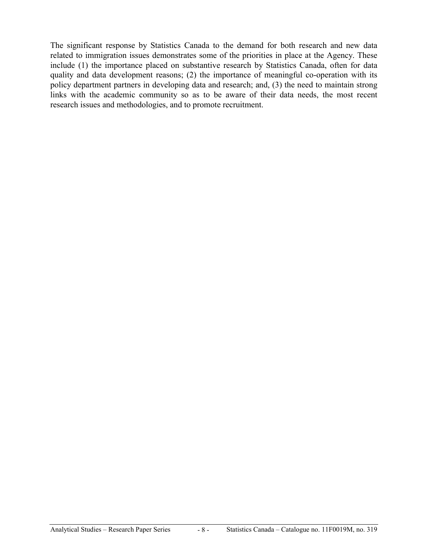The significant response by Statistics Canada to the demand for both research and new data related to immigration issues demonstrates some of the priorities in place at the Agency. These include (1) the importance placed on substantive research by Statistics Canada, often for data quality and data development reasons; (2) the importance of meaningful co-operation with its policy department partners in developing data and research; and, (3) the need to maintain strong links with the academic community so as to be aware of their data needs, the most recent research issues and methodologies, and to promote recruitment.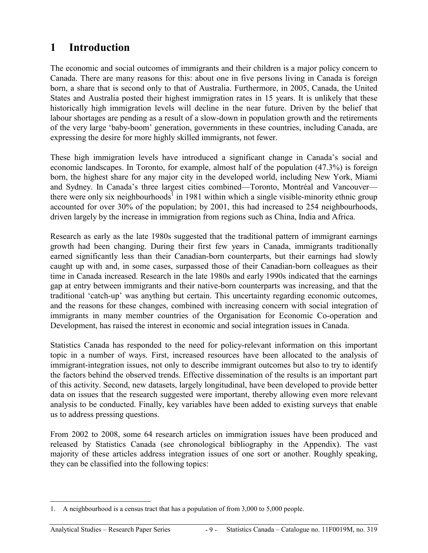### <span id="page-8-0"></span>**1 Introduction**

The economic and social outcomes of immigrants and their children is a major policy concern to Canada. There are many reasons for this: about one in five persons living in Canada is foreign born, a share that is second only to that of Australia. Furthermore, in 2005, Canada, the United States and Australia posted their highest immigration rates in 15 years. It is unlikely that these historically high immigration levels will decline in the near future. Driven by the belief that labour shortages are pending as a result of a slow-down in population growth and the retirements of the very large 'baby-boom' generation, governments in these countries, including Canada, are expressing the desire for more highly skilled immigrants, not fewer.

These high immigration levels have introduced a significant change in Canada's social and economic landscapes. In Toronto, for example, almost half of the population (47.3%) is foreign born, the highest share for any major city in the developed world, including New York, Miami and Sydney. In Canada's three largest cities combined—Toronto, Montréal and Vancouver there were only six neighbourhoods<sup>1</sup> in 1981 within which a single visible-minority ethnic group accounted for over 30% of the population; by 2001, this had increased to 254 neighbourhoods, driven largely by the increase in immigration from regions such as China, India and Africa.

Research as early as the late 1980s suggested that the traditional pattern of immigrant earnings growth had been changing. During their first few years in Canada, immigrants traditionally earned significantly less than their Canadian-born counterparts, but their earnings had slowly caught up with and, in some cases, surpassed those of their Canadian-born colleagues as their time in Canada increased. Research in the late 1980s and early 1990s indicated that the earnings gap at entry between immigrants and their native-born counterparts was increasing, and that the traditional 'catch-up' was anything but certain. This uncertainty regarding economic outcomes, and the reasons for these changes, combined with increasing concern with social integration of immigrants in many member countries of the Organisation for Economic Co-operation and Development, has raised the interest in economic and social integration issues in Canada.

Statistics Canada has responded to the need for policy-relevant information on this important topic in a number of ways. First, increased resources have been allocated to the analysis of immigrant-integration issues, not only to describe immigrant outcomes but also to try to identify the factors behind the observed trends. Effective dissemination of the results is an important part of this activity. Second, new datasets, largely longitudinal, have been developed to provide better data on issues that the research suggested were important, thereby allowing even more relevant analysis to be conducted. Finally, key variables have been added to existing surveys that enable us to address pressing questions.

From 2002 to 2008, some 64 research articles on immigration issues have been produced and released by Statistics Canada (see chronological bibliography in the Appendix). The vast majority of these articles address integration issues of one sort or another. Roughly speaking, they can be classified into the following topics:

<sup>-</sup>1. A neighbourhood is a census tract that has a population of from 3,000 to 5,000 people.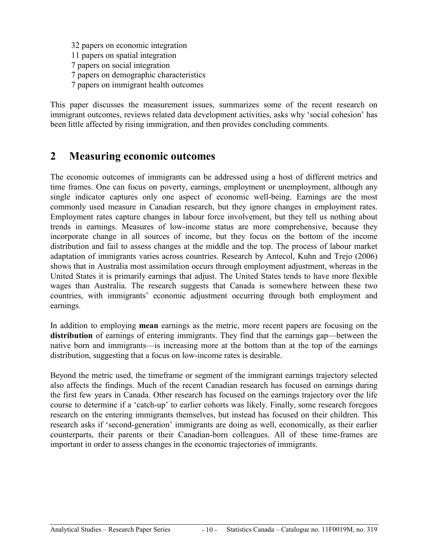<span id="page-9-0"></span> 32 papers on economic integration 11 papers on spatial integration 7 papers on social integration 7 papers on demographic characteristics 7 papers on immigrant health outcomes

This paper discusses the measurement issues, summarizes some of the recent research on immigrant outcomes, reviews related data development activities, asks why 'social cohesion' has been little affected by rising immigration, and then provides concluding comments.

### **2 Measuring economic outcomes**

The economic outcomes of immigrants can be addressed using a host of different metrics and time frames. One can focus on poverty, earnings, employment or unemployment, although any single indicator captures only one aspect of economic well-being. Earnings are the most commonly used measure in Canadian research, but they ignore changes in employment rates. Employment rates capture changes in labour force involvement, but they tell us nothing about trends in earnings. Measures of low-income status are more comprehensive, because they incorporate change in all sources of income, but they focus on the bottom of the income distribution and fail to assess changes at the middle and the top. The process of labour market adaptation of immigrants varies across countries. Research by Antecol, Kuhn and Trejo (2006) shows that in Australia most assimilation occurs through employment adjustment, whereas in the United States it is primarily earnings that adjust. The United States tends to have more flexible wages than Australia. The research suggests that Canada is somewhere between these two countries, with immigrants' economic adjustment occurring through both employment and earnings.

In addition to employing **mean** earnings as the metric, more recent papers are focusing on the distribution of earnings of entering immigrants. They find that the earnings gap—between the native born and immigrants—is increasing more at the bottom than at the top of the earnings distribution, suggesting that a focus on low-income rates is desirable.

Beyond the metric used, the timeframe or segment of the immigrant earnings trajectory selected also affects the findings. Much of the recent Canadian research has focused on earnings during the first few years in Canada. Other research has focused on the earnings trajectory over the life course to determine if a 'catch-up' to earlier cohorts was likely. Finally, some research foregoes research on the entering immigrants themselves, but instead has focused on their children. This research asks if 'second-generation' immigrants are doing as well, economically, as their earlier counterparts, their parents or their Canadian-born colleagues. All of these time-frames are important in order to assess changes in the economic trajectories of immigrants.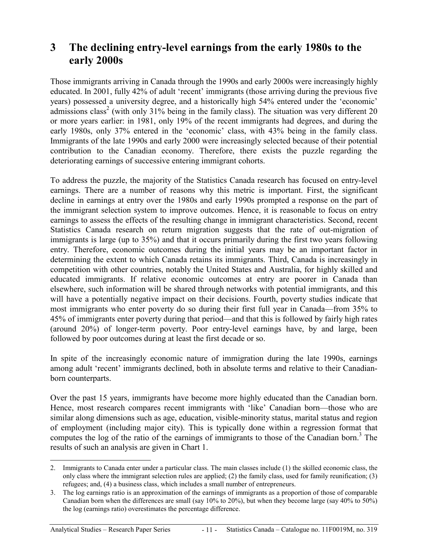### <span id="page-10-0"></span>**3 The declining entry-level earnings from the early 1980s to the early 2000s**

Those immigrants arriving in Canada through the 1990s and early 2000s were increasingly highly educated. In 2001, fully 42% of adult 'recent' immigrants (those arriving during the previous five years) possessed a university degree, and a historically high 54% entered under the 'economic' admissions class<sup>2</sup> (with only 31% being in the family class). The situation was very different 20 or more years earlier: in 1981, only 19% of the recent immigrants had degrees, and during the early 1980s, only 37% entered in the 'economic' class, with 43% being in the family class. Immigrants of the late 1990s and early 2000 were increasingly selected because of their potential contribution to the Canadian economy. Therefore, there exists the puzzle regarding the deteriorating earnings of successive entering immigrant cohorts.

To address the puzzle, the majority of the Statistics Canada research has focused on entry-level earnings. There are a number of reasons why this metric is important. First, the significant decline in earnings at entry over the 1980s and early 1990s prompted a response on the part of the immigrant selection system to improve outcomes. Hence, it is reasonable to focus on entry earnings to assess the effects of the resulting change in immigrant characteristics. Second, recent Statistics Canada research on return migration suggests that the rate of out-migration of immigrants is large (up to 35%) and that it occurs primarily during the first two years following entry. Therefore, economic outcomes during the initial years may be an important factor in determining the extent to which Canada retains its immigrants. Third, Canada is increasingly in competition with other countries, notably the United States and Australia, for highly skilled and educated immigrants. If relative economic outcomes at entry are poorer in Canada than elsewhere, such information will be shared through networks with potential immigrants, and this will have a potentially negative impact on their decisions. Fourth, poverty studies indicate that most immigrants who enter poverty do so during their first full year in Canada—from 35% to 45% of immigrants enter poverty during that period—and that this is followed by fairly high rates (around 20%) of longer-term poverty. Poor entry-level earnings have, by and large, been followed by poor outcomes during at least the first decade or so.

In spite of the increasingly economic nature of immigration during the late 1990s, earnings among adult 'recent' immigrants declined, both in absolute terms and relative to their Canadianborn counterparts.

Over the past 15 years, immigrants have become more highly educated than the Canadian born. Hence, most research compares recent immigrants with 'like' Canadian born—those who are similar along dimensions such as age, education, visible-minority status, marital status and region of employment (including major city). This is typically done within a regression format that computes the log of the ratio of the earnings of immigrants to those of the Canadian born.<sup>3</sup> The results of such an analysis are given in Chart 1.

-

<sup>2.</sup> Immigrants to Canada enter under a particular class. The main classes include (1) the skilled economic class, the only class where the immigrant selection rules are applied; (2) the family class, used for family reunification; (3) refugees; and, (4) a business class, which includes a small number of entrepreneurs.

<sup>3.</sup> The log earnings ratio is an approximation of the earnings of immigrants as a proportion of those of comparable Canadian born when the differences are small (say 10% to 20%), but when they become large (say 40% to 50%) the log (earnings ratio) overestimates the percentage difference.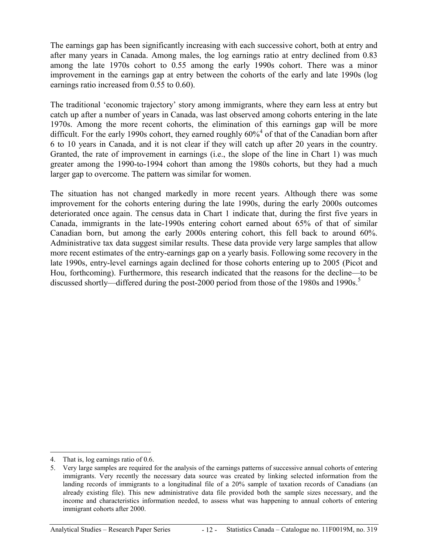The earnings gap has been significantly increasing with each successive cohort, both at entry and after many years in Canada. Among males, the log earnings ratio at entry declined from 0.83 among the late 1970s cohort to 0.55 among the early 1990s cohort. There was a minor improvement in the earnings gap at entry between the cohorts of the early and late 1990s (log earnings ratio increased from 0.55 to 0.60).

The traditional 'economic trajectory' story among immigrants, where they earn less at entry but catch up after a number of years in Canada, was last observed among cohorts entering in the late 1970s. Among the more recent cohorts, the elimination of this earnings gap will be more difficult. For the early 1990s cohort, they earned roughly  $60\%$ <sup>4</sup> of that of the Canadian born after 6 to 10 years in Canada, and it is not clear if they will catch up after 20 years in the country. Granted, the rate of improvement in earnings (i.e., the slope of the line in Chart 1) was much greater among the 1990-to-1994 cohort than among the 1980s cohorts, but they had a much larger gap to overcome. The pattern was similar for women.

The situation has not changed markedly in more recent years. Although there was some improvement for the cohorts entering during the late 1990s, during the early 2000s outcomes deteriorated once again. The census data in Chart 1 indicate that, during the first five years in Canada, immigrants in the late-1990s entering cohort earned about 65% of that of similar Canadian born, but among the early 2000s entering cohort, this fell back to around 60%. Administrative tax data suggest similar results. These data provide very large samples that allow more recent estimates of the entry-earnings gap on a yearly basis. Following some recovery in the late 1990s, entry-level earnings again declined for those cohorts entering up to 2005 (Picot and Hou, forthcoming). Furthermore, this research indicated that the reasons for the decline—to be discussed shortly—differed during the post-2000 period from those of the 1980s and 1990s.<sup>5</sup>

 $\overline{a}$ 

<sup>4.</sup> That is, log earnings ratio of 0.6.

<sup>5.</sup> Very large samples are required for the analysis of the earnings patterns of successive annual cohorts of entering immigrants. Very recently the necessary data source was created by linking selected information from the landing records of immigrants to a longitudinal file of a 20% sample of taxation records of Canadians (an already existing file). This new administrative data file provided both the sample sizes necessary, and the income and characteristics information needed, to assess what was happening to annual cohorts of entering immigrant cohorts after 2000.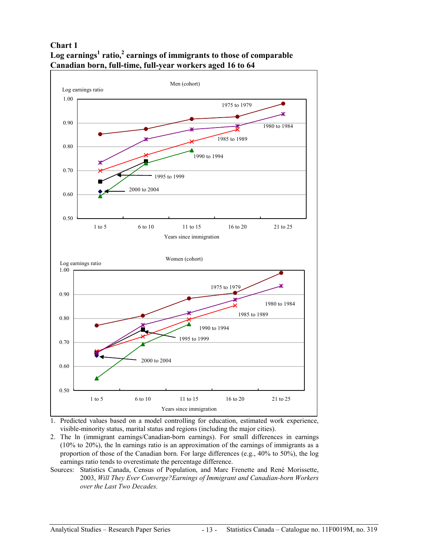**Chart 1**  Log earnings<sup>1</sup> ratio,<sup>2</sup> earnings of immigrants to those of comparable **Canadian born, full-time, full-year workers aged 16 to 64** 



- 1. Predicted values based on a model controlling for education, estimated work experience, visible-minority status, marital status and regions (including the major cities).
- 2. The ln (immigrant earnings/Canadian-born earnings). For small differences in earnings (10% to 20%), the ln earnings ratio is an approximation of the earnings of immigrants as a proportion of those of the Canadian born. For large differences (e.g., 40% to 50%), the log earnings ratio tends to overestimate the percentage difference.
- Sources: Statistics Canada, Census of Population, and Marc Frenette and René Morissette, 2003, *Will They Ever Converge?Earnings of Immigrant and Canadian-born Workers over the Last Two Decades.*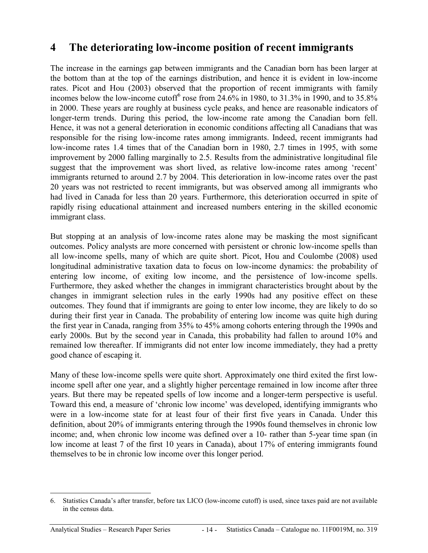### <span id="page-13-0"></span>**4 The deteriorating low-income position of recent immigrants**

The increase in the earnings gap between immigrants and the Canadian born has been larger at the bottom than at the top of the earnings distribution, and hence it is evident in low-income rates. Picot and Hou (2003) observed that the proportion of recent immigrants with family incomes below the low-income cutoff<sup>6</sup> rose from  $24.6\%$  in 1980, to 31.3% in 1990, and to 35.8% in 2000. These years are roughly at business cycle peaks, and hence are reasonable indicators of longer-term trends. During this period, the low-income rate among the Canadian born fell. Hence, it was not a general deterioration in economic conditions affecting all Canadians that was responsible for the rising low-income rates among immigrants. Indeed, recent immigrants had low-income rates 1.4 times that of the Canadian born in 1980, 2.7 times in 1995, with some improvement by 2000 falling marginally to 2.5. Results from the administrative longitudinal file suggest that the improvement was short lived, as relative low-income rates among 'recent' immigrants returned to around 2.7 by 2004. This deterioration in low-income rates over the past 20 years was not restricted to recent immigrants, but was observed among all immigrants who had lived in Canada for less than 20 years. Furthermore, this deterioration occurred in spite of rapidly rising educational attainment and increased numbers entering in the skilled economic immigrant class.

But stopping at an analysis of low-income rates alone may be masking the most significant outcomes. Policy analysts are more concerned with persistent or chronic low-income spells than all low-income spells, many of which are quite short. Picot, Hou and Coulombe (2008) used longitudinal administrative taxation data to focus on low-income dynamics: the probability of entering low income, of exiting low income, and the persistence of low-income spells. Furthermore, they asked whether the changes in immigrant characteristics brought about by the changes in immigrant selection rules in the early 1990s had any positive effect on these outcomes. They found that if immigrants are going to enter low income, they are likely to do so during their first year in Canada. The probability of entering low income was quite high during the first year in Canada, ranging from 35% to 45% among cohorts entering through the 1990s and early 2000s. But by the second year in Canada, this probability had fallen to around 10% and remained low thereafter. If immigrants did not enter low income immediately, they had a pretty good chance of escaping it.

Many of these low-income spells were quite short. Approximately one third exited the first lowincome spell after one year, and a slightly higher percentage remained in low income after three years. But there may be repeated spells of low income and a longer-term perspective is useful. Toward this end, a measure of 'chronic low income' was developed, identifying immigrants who were in a low-income state for at least four of their first five years in Canada. Under this definition, about 20% of immigrants entering through the 1990s found themselves in chronic low income; and, when chronic low income was defined over a 10- rather than 5-year time span (in low income at least 7 of the first 10 years in Canada), about 17% of entering immigrants found themselves to be in chronic low income over this longer period.

 $\overline{a}$ 

<sup>6.</sup> Statistics Canada's after transfer, before tax LICO (low-income cutoff) is used, since taxes paid are not available in the census data.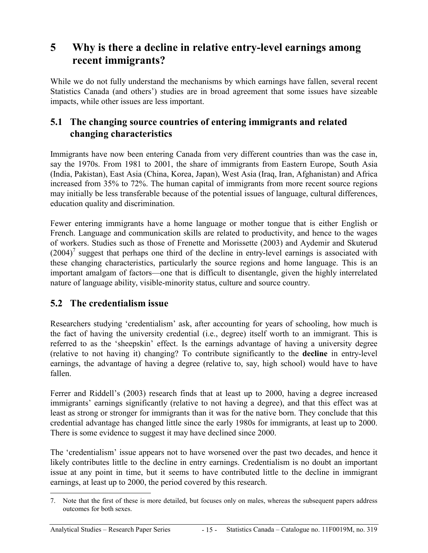### <span id="page-14-0"></span>**5 Why is there a decline in relative entry-level earnings among recent immigrants?**

While we do not fully understand the mechanisms by which earnings have fallen, several recent Statistics Canada (and others') studies are in broad agreement that some issues have sizeable impacts, while other issues are less important.

### **5.1 The changing source countries of entering immigrants and related changing characteristics**

Immigrants have now been entering Canada from very different countries than was the case in, say the 1970s. From 1981 to 2001, the share of immigrants from Eastern Europe, South Asia (India, Pakistan), East Asia (China, Korea, Japan), West Asia (Iraq, Iran, Afghanistan) and Africa increased from 35% to 72%. The human capital of immigrants from more recent source regions may initially be less transferable because of the potential issues of language, cultural differences, education quality and discrimination.

Fewer entering immigrants have a home language or mother tongue that is either English or French. Language and communication skills are related to productivity, and hence to the wages of workers. Studies such as those of Frenette and Morissette (2003) and Aydemir and Skuterud  $(2004)^7$  suggest that perhaps one third of the decline in entry-level earnings is associated with these changing characteristics, particularly the source regions and home language. This is an important amalgam of factors—one that is difficult to disentangle, given the highly interrelated nature of language ability, visible-minority status, culture and source country.

#### **5.2 The credentialism issue**

Researchers studying 'credentialism' ask, after accounting for years of schooling, how much is the fact of having the university credential (i.e., degree) itself worth to an immigrant. This is referred to as the 'sheepskin' effect. Is the earnings advantage of having a university degree (relative to not having it) changing? To contribute significantly to the **decline** in entry-level earnings, the advantage of having a degree (relative to, say, high school) would have to have fallen.

Ferrer and Riddell's (2003) research finds that at least up to 2000, having a degree increased immigrants' earnings significantly (relative to not having a degree), and that this effect was at least as strong or stronger for immigrants than it was for the native born. They conclude that this credential advantage has changed little since the early 1980s for immigrants, at least up to 2000. There is some evidence to suggest it may have declined since 2000.

The 'credentialism' issue appears not to have worsened over the past two decades, and hence it likely contributes little to the decline in entry earnings. Credentialism is no doubt an important issue at any point in time, but it seems to have contributed little to the decline in immigrant earnings, at least up to 2000, the period covered by this research.

 $\overline{a}$ 7. Note that the first of these is more detailed, but focuses only on males, whereas the subsequent papers address outcomes for both sexes.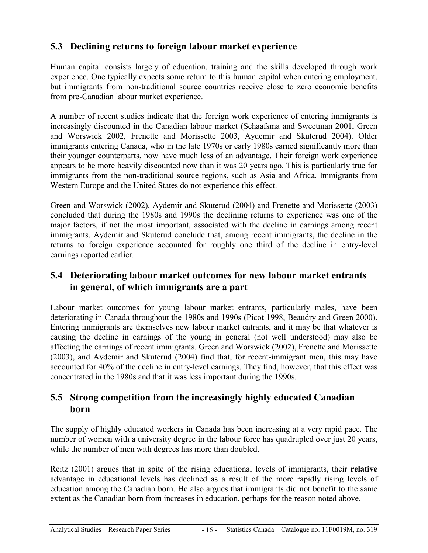### <span id="page-15-0"></span>**5.3 Declining returns to foreign labour market experience**

Human capital consists largely of education, training and the skills developed through work experience. One typically expects some return to this human capital when entering employment, but immigrants from non-traditional source countries receive close to zero economic benefits from pre-Canadian labour market experience.

A number of recent studies indicate that the foreign work experience of entering immigrants is increasingly discounted in the Canadian labour market (Schaafsma and Sweetman 2001, Green and Worswick 2002, Frenette and Morissette 2003, Aydemir and Skuterud 2004). Older immigrants entering Canada, who in the late 1970s or early 1980s earned significantly more than their younger counterparts, now have much less of an advantage. Their foreign work experience appears to be more heavily discounted now than it was 20 years ago. This is particularly true for immigrants from the non-traditional source regions, such as Asia and Africa. Immigrants from Western Europe and the United States do not experience this effect.

Green and Worswick (2002), Aydemir and Skuterud (2004) and Frenette and Morissette (2003) concluded that during the 1980s and 1990s the declining returns to experience was one of the major factors, if not the most important, associated with the decline in earnings among recent immigrants. Aydemir and Skuterud conclude that, among recent immigrants, the decline in the returns to foreign experience accounted for roughly one third of the decline in entry-level earnings reported earlier.

#### **5.4 Deteriorating labour market outcomes for new labour market entrants in general, of which immigrants are a part**

Labour market outcomes for young labour market entrants, particularly males, have been deteriorating in Canada throughout the 1980s and 1990s (Picot 1998, Beaudry and Green 2000). Entering immigrants are themselves new labour market entrants, and it may be that whatever is causing the decline in earnings of the young in general (not well understood) may also be affecting the earnings of recent immigrants. Green and Worswick (2002), Frenette and Morissette (2003), and Aydemir and Skuterud (2004) find that, for recent-immigrant men, this may have accounted for 40% of the decline in entry-level earnings. They find, however, that this effect was concentrated in the 1980s and that it was less important during the 1990s.

#### **5.5 Strong competition from the increasingly highly educated Canadian born**

The supply of highly educated workers in Canada has been increasing at a very rapid pace. The number of women with a university degree in the labour force has quadrupled over just 20 years, while the number of men with degrees has more than doubled.

Reitz (2001) argues that in spite of the rising educational levels of immigrants, their **relative** advantage in educational levels has declined as a result of the more rapidly rising levels of education among the Canadian born. He also argues that immigrants did not benefit to the same extent as the Canadian born from increases in education, perhaps for the reason noted above.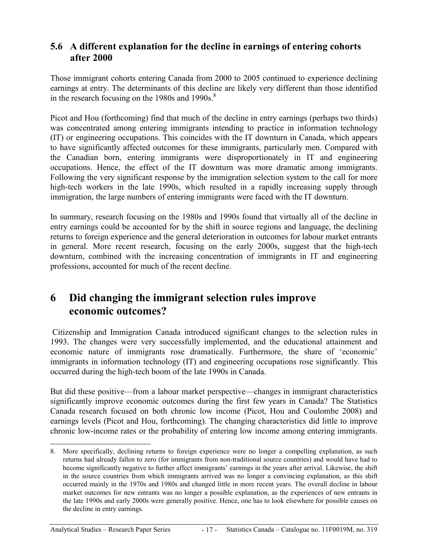#### <span id="page-16-0"></span>**5.6 A different explanation for the decline in earnings of entering cohorts after 2000**

Those immigrant cohorts entering Canada from 2000 to 2005 continued to experience declining earnings at entry. The determinants of this decline are likely very different than those identified in the research focusing on the 1980s and 1990s. $8$ 

Picot and Hou (forthcoming) find that much of the decline in entry earnings (perhaps two thirds) was concentrated among entering immigrants intending to practice in information technology (IT) or engineering occupations. This coincides with the IT downturn in Canada, which appears to have significantly affected outcomes for these immigrants, particularly men. Compared with the Canadian born, entering immigrants were disproportionately in IT and engineering occupations. Hence, the effect of the IT downturn was more dramatic among immigrants. Following the very significant response by the immigration selection system to the call for more high-tech workers in the late 1990s, which resulted in a rapidly increasing supply through immigration, the large numbers of entering immigrants were faced with the IT downturn.

In summary, research focusing on the 1980s and 1990s found that virtually all of the decline in entry earnings could be accounted for by the shift in source regions and language, the declining returns to foreign experience and the general deterioration in outcomes for labour market entrants in general. More recent research, focusing on the early 2000s, suggest that the high-tech downturn, combined with the increasing concentration of immigrants in IT and engineering professions, accounted for much of the recent decline.

### **6 Did changing the immigrant selection rules improve economic outcomes?**

 Citizenship and Immigration Canada introduced significant changes to the selection rules in 1993. The changes were very successfully implemented, and the educational attainment and economic nature of immigrants rose dramatically. Furthermore, the share of 'economic' immigrants in information technology (IT) and engineering occupations rose significantly. This occurred during the high-tech boom of the late 1990s in Canada.

But did these positive—from a labour market perspective—changes in immigrant characteristics significantly improve economic outcomes during the first few years in Canada? The Statistics Canada research focused on both chronic low income (Picot, Hou and Coulombe 2008) and earnings levels (Picot and Hou, forthcoming). The changing characteristics did little to improve chronic low-income rates or the probability of entering low income among entering immigrants.

<sup>8.</sup> More specifically, declining returns to foreign experience were no longer a compelling explanation, as such returns had already fallen to zero (for immigrants from non-traditional source countries) and would have had to become significantly negative to further affect immigrants' earnings in the years after arrival. Likewise, the shift in the source countries from which immigrants arrived was no longer a convincing explanation, as this shift occurred mainly in the 1970s and 1980s and changed little in more recent years. The overall decline in labour market outcomes for new entrants was no longer a possible explanation, as the experiences of new entrants in the late 1990s and early 2000s were generally positive. Hence, one has to look elsewhere for possible causes on the decline in entry earnings.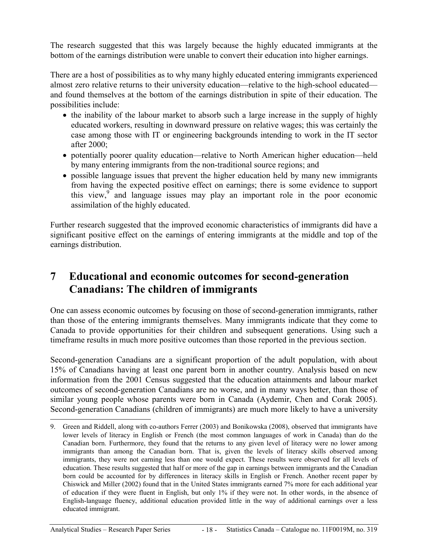<span id="page-17-0"></span>The research suggested that this was largely because the highly educated immigrants at the bottom of the earnings distribution were unable to convert their education into higher earnings.

There are a host of possibilities as to why many highly educated entering immigrants experienced almost zero relative returns to their university education—relative to the high-school educated and found themselves at the bottom of the earnings distribution in spite of their education. The possibilities include:

- the inability of the labour market to absorb such a large increase in the supply of highly educated workers, resulting in downward pressure on relative wages; this was certainly the case among those with IT or engineering backgrounds intending to work in the IT sector after 2000;
- potentially poorer quality education—relative to North American higher education—held by many entering immigrants from the non-traditional source regions; and
- possible language issues that prevent the higher education held by many new immigrants from having the expected positive effect on earnings; there is some evidence to support this view, $9^{\circ}$  and language issues may play an important role in the poor economic assimilation of the highly educated.

Further research suggested that the improved economic characteristics of immigrants did have a significant positive effect on the earnings of entering immigrants at the middle and top of the earnings distribution.

### **7 Educational and economic outcomes for second-generation Canadians: The children of immigrants**

One can assess economic outcomes by focusing on those of second-generation immigrants, rather than those of the entering immigrants themselves. Many immigrants indicate that they come to Canada to provide opportunities for their children and subsequent generations. Using such a timeframe results in much more positive outcomes than those reported in the previous section.

Second-generation Canadians are a significant proportion of the adult population, with about 15% of Canadians having at least one parent born in another country. Analysis based on new information from the 2001 Census suggested that the education attainments and labour market outcomes of second-generation Canadians are no worse, and in many ways better, than those of similar young people whose parents were born in Canada (Aydemir, Chen and Corak 2005). Second-generation Canadians (children of immigrants) are much more likely to have a university

-

<sup>9.</sup> Green and Riddell, along with co-authors Ferrer (2003) and Bonikowska (2008), observed that immigrants have lower levels of literacy in English or French (the most common languages of work in Canada) than do the Canadian born. Furthermore, they found that the returns to any given level of literacy were no lower among immigrants than among the Canadian born. That is, given the levels of literacy skills observed among immigrants, they were not earning less than one would expect. These results were observed for all levels of education. These results suggested that half or more of the gap in earnings between immigrants and the Canadian born could be accounted for by differences in literacy skills in English or French. Another recent paper by Chiswick and Miller (2002) found that in the United States immigrants earned 7% more for each additional year of education if they were fluent in English, but only 1% if they were not. In other words, in the absence of English-language fluency, additional education provided little in the way of additional earnings over a less educated immigrant.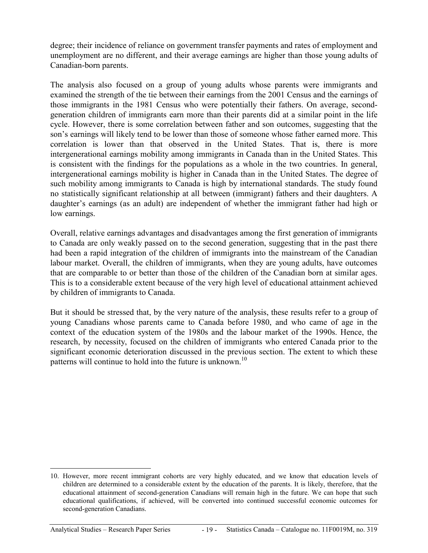degree; their incidence of reliance on government transfer payments and rates of employment and unemployment are no different, and their average earnings are higher than those young adults of Canadian-born parents.

The analysis also focused on a group of young adults whose parents were immigrants and examined the strength of the tie between their earnings from the 2001 Census and the earnings of those immigrants in the 1981 Census who were potentially their fathers. On average, secondgeneration children of immigrants earn more than their parents did at a similar point in the life cycle. However, there is some correlation between father and son outcomes, suggesting that the son's earnings will likely tend to be lower than those of someone whose father earned more. This correlation is lower than that observed in the United States. That is, there is more intergenerational earnings mobility among immigrants in Canada than in the United States. This is consistent with the findings for the populations as a whole in the two countries. In general, intergenerational earnings mobility is higher in Canada than in the United States. The degree of such mobility among immigrants to Canada is high by international standards. The study found no statistically significant relationship at all between (immigrant) fathers and their daughters. A daughter's earnings (as an adult) are independent of whether the immigrant father had high or low earnings.

Overall, relative earnings advantages and disadvantages among the first generation of immigrants to Canada are only weakly passed on to the second generation, suggesting that in the past there had been a rapid integration of the children of immigrants into the mainstream of the Canadian labour market. Overall, the children of immigrants, when they are young adults, have outcomes that are comparable to or better than those of the children of the Canadian born at similar ages. This is to a considerable extent because of the very high level of educational attainment achieved by children of immigrants to Canada.

But it should be stressed that, by the very nature of the analysis, these results refer to a group of young Canadians whose parents came to Canada before 1980, and who came of age in the context of the education system of the 1980s and the labour market of the 1990s. Hence, the research, by necessity, focused on the children of immigrants who entered Canada prior to the significant economic deterioration discussed in the previous section. The extent to which these patterns will continue to hold into the future is unknown.<sup>10</sup>

<sup>1</sup> 10. However, more recent immigrant cohorts are very highly educated, and we know that education levels of children are determined to a considerable extent by the education of the parents. It is likely, therefore, that the educational attainment of second-generation Canadians will remain high in the future. We can hope that such educational qualifications, if achieved, will be converted into continued successful economic outcomes for second-generation Canadians.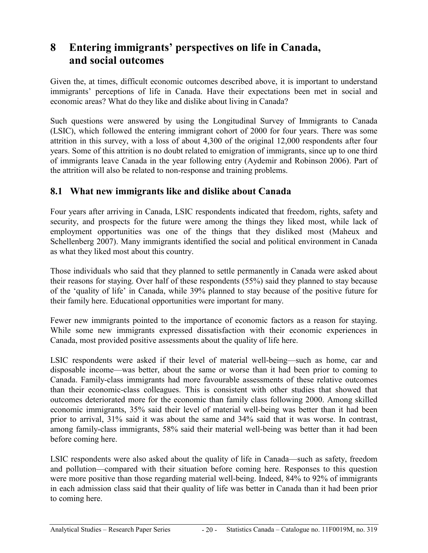### <span id="page-19-0"></span>**8 Entering immigrants' perspectives on life in Canada, and social outcomes**

Given the, at times, difficult economic outcomes described above, it is important to understand immigrants' perceptions of life in Canada. Have their expectations been met in social and economic areas? What do they like and dislike about living in Canada?

Such questions were answered by using the Longitudinal Survey of Immigrants to Canada (LSIC), which followed the entering immigrant cohort of 2000 for four years. There was some attrition in this survey, with a loss of about 4,300 of the original 12,000 respondents after four years. Some of this attrition is no doubt related to emigration of immigrants, since up to one third of immigrants leave Canada in the year following entry (Aydemir and Robinson 2006). Part of the attrition will also be related to non-response and training problems.

#### **8.1 What new immigrants like and dislike about Canada**

Four years after arriving in Canada, LSIC respondents indicated that freedom, rights, safety and security, and prospects for the future were among the things they liked most, while lack of employment opportunities was one of the things that they disliked most (Maheux and Schellenberg 2007). Many immigrants identified the social and political environment in Canada as what they liked most about this country.

Those individuals who said that they planned to settle permanently in Canada were asked about their reasons for staying. Over half of these respondents (55%) said they planned to stay because of the 'quality of life' in Canada, while 39% planned to stay because of the positive future for their family here. Educational opportunities were important for many.

Fewer new immigrants pointed to the importance of economic factors as a reason for staying. While some new immigrants expressed dissatisfaction with their economic experiences in Canada, most provided positive assessments about the quality of life here.

LSIC respondents were asked if their level of material well-being—such as home, car and disposable income—was better, about the same or worse than it had been prior to coming to Canada. Family-class immigrants had more favourable assessments of these relative outcomes than their economic-class colleagues. This is consistent with other studies that showed that outcomes deteriorated more for the economic than family class following 2000. Among skilled economic immigrants, 35% said their level of material well-being was better than it had been prior to arrival, 31% said it was about the same and 34% said that it was worse. In contrast, among family-class immigrants, 58% said their material well-being was better than it had been before coming here.

LSIC respondents were also asked about the quality of life in Canada—such as safety, freedom and pollution—compared with their situation before coming here. Responses to this question were more positive than those regarding material well-being. Indeed, 84% to 92% of immigrants in each admission class said that their quality of life was better in Canada than it had been prior to coming here.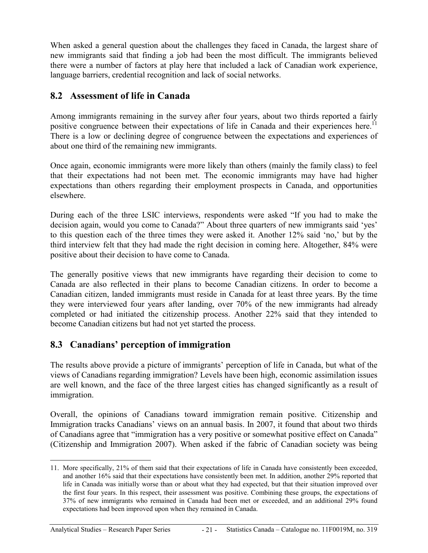<span id="page-20-0"></span>When asked a general question about the challenges they faced in Canada, the largest share of new immigrants said that finding a job had been the most difficult. The immigrants believed there were a number of factors at play here that included a lack of Canadian work experience, language barriers, credential recognition and lack of social networks.

### **8.2 Assessment of life in Canada**

Among immigrants remaining in the survey after four years, about two thirds reported a fairly positive congruence between their expectations of life in Canada and their experiences here.<sup>11</sup> There is a low or declining degree of congruence between the expectations and experiences of about one third of the remaining new immigrants.

Once again, economic immigrants were more likely than others (mainly the family class) to feel that their expectations had not been met. The economic immigrants may have had higher expectations than others regarding their employment prospects in Canada, and opportunities elsewhere.

During each of the three LSIC interviews, respondents were asked "If you had to make the decision again, would you come to Canada?" About three quarters of new immigrants said 'yes' to this question each of the three times they were asked it. Another 12% said 'no,' but by the third interview felt that they had made the right decision in coming here. Altogether, 84% were positive about their decision to have come to Canada.

The generally positive views that new immigrants have regarding their decision to come to Canada are also reflected in their plans to become Canadian citizens. In order to become a Canadian citizen, landed immigrants must reside in Canada for at least three years. By the time they were interviewed four years after landing, over 70% of the new immigrants had already completed or had initiated the citizenship process. Another 22% said that they intended to become Canadian citizens but had not yet started the process.

### **8.3 Canadians' perception of immigration**

The results above provide a picture of immigrants' perception of life in Canada, but what of the views of Canadians regarding immigration? Levels have been high, economic assimilation issues are well known, and the face of the three largest cities has changed significantly as a result of immigration.

Overall, the opinions of Canadians toward immigration remain positive. Citizenship and Immigration tracks Canadians' views on an annual basis. In 2007, it found that about two thirds of Canadians agree that "immigration has a very positive or somewhat positive effect on Canada" (Citizenship and Immigration 2007). When asked if the fabric of Canadian society was being

-

<sup>11.</sup> More specifically, 21% of them said that their expectations of life in Canada have consistently been exceeded, and another 16% said that their expectations have consistently been met. In addition, another 29% reported that life in Canada was initially worse than or about what they had expected, but that their situation improved over the first four years. In this respect, their assessment was positive. Combining these groups, the expectations of 37% of new immigrants who remained in Canada had been met or exceeded, and an additional 29% found expectations had been improved upon when they remained in Canada.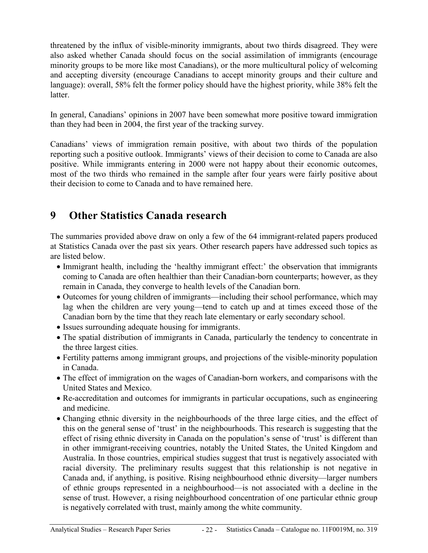<span id="page-21-0"></span>threatened by the influx of visible-minority immigrants, about two thirds disagreed. They were also asked whether Canada should focus on the social assimilation of immigrants (encourage minority groups to be more like most Canadians), or the more multicultural policy of welcoming and accepting diversity (encourage Canadians to accept minority groups and their culture and language): overall, 58% felt the former policy should have the highest priority, while 38% felt the **latter** 

In general, Canadians' opinions in 2007 have been somewhat more positive toward immigration than they had been in 2004, the first year of the tracking survey.

Canadians' views of immigration remain positive, with about two thirds of the population reporting such a positive outlook. Immigrants' views of their decision to come to Canada are also positive. While immigrants entering in 2000 were not happy about their economic outcomes, most of the two thirds who remained in the sample after four years were fairly positive about their decision to come to Canada and to have remained here.

### **9 Other Statistics Canada research**

The summaries provided above draw on only a few of the 64 immigrant-related papers produced at Statistics Canada over the past six years. Other research papers have addressed such topics as are listed below.

- Immigrant health, including the 'healthy immigrant effect:' the observation that immigrants coming to Canada are often healthier than their Canadian-born counterparts; however, as they remain in Canada, they converge to health levels of the Canadian born.
- Outcomes for young children of immigrants—including their school performance, which may lag when the children are very young—tend to catch up and at times exceed those of the Canadian born by the time that they reach late elementary or early secondary school.
- Issues surrounding adequate housing for immigrants.
- The spatial distribution of immigrants in Canada, particularly the tendency to concentrate in the three largest cities.
- Fertility patterns among immigrant groups, and projections of the visible-minority population in Canada.
- The effect of immigration on the wages of Canadian-born workers, and comparisons with the United States and Mexico.
- Re-accreditation and outcomes for immigrants in particular occupations, such as engineering and medicine.
- Changing ethnic diversity in the neighbourhoods of the three large cities, and the effect of this on the general sense of 'trust' in the neighbourhoods. This research is suggesting that the effect of rising ethnic diversity in Canada on the population's sense of 'trust' is different than in other immigrant-receiving countries, notably the United States, the United Kingdom and Australia. In those countries, empirical studies suggest that trust is negatively associated with racial diversity. The preliminary results suggest that this relationship is not negative in Canada and, if anything, is positive. Rising neighbourhood ethnic diversity—larger numbers of ethnic groups represented in a neighbourhood—is not associated with a decline in the sense of trust. However, a rising neighbourhood concentration of one particular ethnic group is negatively correlated with trust, mainly among the white community.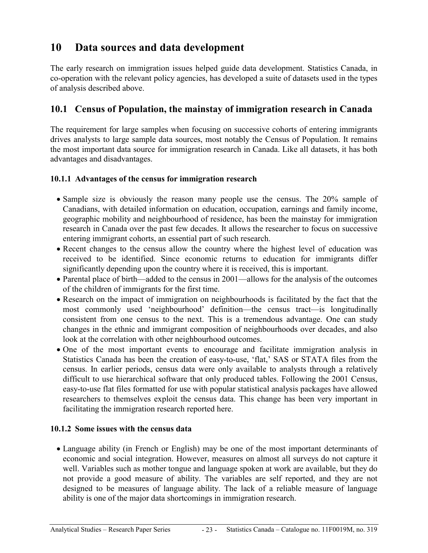### <span id="page-22-0"></span>**10 Data sources and data development**

The early research on immigration issues helped guide data development. Statistics Canada, in co-operation with the relevant policy agencies, has developed a suite of datasets used in the types of analysis described above.

#### **10.1 Census of Population, the mainstay of immigration research in Canada**

The requirement for large samples when focusing on successive cohorts of entering immigrants drives analysts to large sample data sources, most notably the Census of Population. It remains the most important data source for immigration research in Canada. Like all datasets, it has both advantages and disadvantages.

#### **10.1.1 Advantages of the census for immigration research**

- Sample size is obviously the reason many people use the census. The 20% sample of Canadians, with detailed information on education, occupation, earnings and family income, geographic mobility and neighbourhood of residence, has been the mainstay for immigration research in Canada over the past few decades. It allows the researcher to focus on successive entering immigrant cohorts, an essential part of such research.
- Recent changes to the census allow the country where the highest level of education was received to be identified. Since economic returns to education for immigrants differ significantly depending upon the country where it is received, this is important.
- Parental place of birth—added to the census in 2001—allows for the analysis of the outcomes of the children of immigrants for the first time.
- Research on the impact of immigration on neighbourhoods is facilitated by the fact that the most commonly used 'neighbourhood' definition—the census tract—is longitudinally consistent from one census to the next. This is a tremendous advantage. One can study changes in the ethnic and immigrant composition of neighbourhoods over decades, and also look at the correlation with other neighbourhood outcomes.
- One of the most important events to encourage and facilitate immigration analysis in Statistics Canada has been the creation of easy-to-use, 'flat,' SAS or STATA files from the census. In earlier periods, census data were only available to analysts through a relatively difficult to use hierarchical software that only produced tables. Following the 2001 Census, easy-to-use flat files formatted for use with popular statistical analysis packages have allowed researchers to themselves exploit the census data. This change has been very important in facilitating the immigration research reported here.

#### **10.1.2 Some issues with the census data**

• Language ability (in French or English) may be one of the most important determinants of economic and social integration. However, measures on almost all surveys do not capture it well. Variables such as mother tongue and language spoken at work are available, but they do not provide a good measure of ability. The variables are self reported, and they are not designed to be measures of language ability. The lack of a reliable measure of language ability is one of the major data shortcomings in immigration research.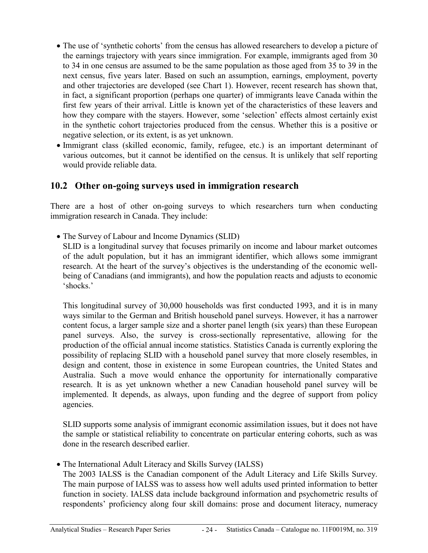- <span id="page-23-0"></span>• The use of 'synthetic cohorts' from the census has allowed researchers to develop a picture of the earnings trajectory with years since immigration. For example, immigrants aged from 30 to 34 in one census are assumed to be the same population as those aged from 35 to 39 in the next census, five years later. Based on such an assumption, earnings, employment, poverty and other trajectories are developed (see Chart 1). However, recent research has shown that, in fact, a significant proportion (perhaps one quarter) of immigrants leave Canada within the first few years of their arrival. Little is known yet of the characteristics of these leavers and how they compare with the stayers. However, some 'selection' effects almost certainly exist in the synthetic cohort trajectories produced from the census. Whether this is a positive or negative selection, or its extent, is as yet unknown.
- Immigrant class (skilled economic, family, refugee, etc.) is an important determinant of various outcomes, but it cannot be identified on the census. It is unlikely that self reporting would provide reliable data.

#### **10.2 Other on-going surveys used in immigration research**

There are a host of other on-going surveys to which researchers turn when conducting immigration research in Canada. They include:

• The Survey of Labour and Income Dynamics (SLID)

 SLID is a longitudinal survey that focuses primarily on income and labour market outcomes of the adult population, but it has an immigrant identifier, which allows some immigrant research. At the heart of the survey's objectives is the understanding of the economic wellbeing of Canadians (and immigrants), and how the population reacts and adjusts to economic 'shocks.'

 This longitudinal survey of 30,000 households was first conducted 1993, and it is in many ways similar to the German and British household panel surveys. However, it has a narrower content focus, a larger sample size and a shorter panel length (six years) than these European panel surveys. Also, the survey is cross-sectionally representative, allowing for the production of the official annual income statistics. Statistics Canada is currently exploring the possibility of replacing SLID with a household panel survey that more closely resembles, in design and content, those in existence in some European countries, the United States and Australia. Such a move would enhance the opportunity for internationally comparative research. It is as yet unknown whether a new Canadian household panel survey will be implemented. It depends, as always, upon funding and the degree of support from policy agencies.

 SLID supports some analysis of immigrant economic assimilation issues, but it does not have the sample or statistical reliability to concentrate on particular entering cohorts, such as was done in the research described earlier.

• The International Adult Literacy and Skills Survey (IALSS)

 The 2003 IALSS is the Canadian component of the Adult Literacy and Life Skills Survey. The main purpose of IALSS was to assess how well adults used printed information to better function in society. IALSS data include background information and psychometric results of respondents' proficiency along four skill domains: prose and document literacy, numeracy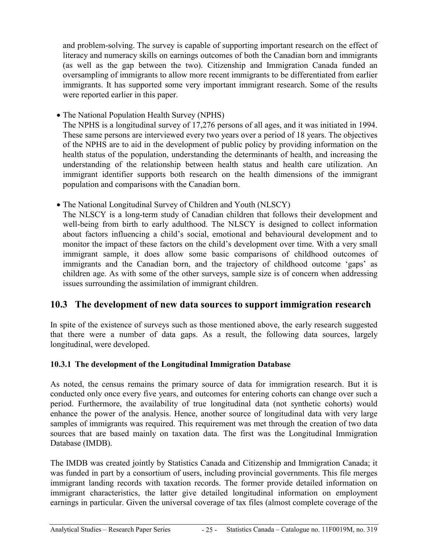<span id="page-24-0"></span>and problem-solving. The survey is capable of supporting important research on the effect of literacy and numeracy skills on earnings outcomes of both the Canadian born and immigrants (as well as the gap between the two). Citizenship and Immigration Canada funded an oversampling of immigrants to allow more recent immigrants to be differentiated from earlier immigrants. It has supported some very important immigrant research. Some of the results were reported earlier in this paper.

• The National Population Health Survey (NPHS)

The NPHS is a longitudinal survey of 17,276 persons of all ages, and it was initiated in 1994. These same persons are interviewed every two years over a period of 18 years. The objectives of the NPHS are to aid in the development of public policy by providing information on the health status of the population, understanding the determinants of health, and increasing the understanding of the relationship between health status and health care utilization. An immigrant identifier supports both research on the health dimensions of the immigrant population and comparisons with the Canadian born.

• The National Longitudinal Survey of Children and Youth (NLSCY)

The NLSCY is a long-term study of Canadian children that follows their development and well-being from birth to early adulthood. The NLSCY is designed to collect information about factors influencing a child's social, emotional and behavioural development and to monitor the impact of these factors on the child's development over time. With a very small immigrant sample, it does allow some basic comparisons of childhood outcomes of immigrants and the Canadian born, and the trajectory of childhood outcome 'gaps' as children age. As with some of the other surveys, sample size is of concern when addressing issues surrounding the assimilation of immigrant children.

### **10.3 The development of new data sources to support immigration research**

In spite of the existence of surveys such as those mentioned above, the early research suggested that there were a number of data gaps. As a result, the following data sources, largely longitudinal, were developed.

#### **10.3.1 The development of the Longitudinal Immigration Database**

As noted, the census remains the primary source of data for immigration research. But it is conducted only once every five years, and outcomes for entering cohorts can change over such a period. Furthermore, the availability of true longitudinal data (not synthetic cohorts) would enhance the power of the analysis. Hence, another source of longitudinal data with very large samples of immigrants was required. This requirement was met through the creation of two data sources that are based mainly on taxation data. The first was the Longitudinal Immigration Database (IMDB).

The IMDB was created jointly by Statistics Canada and Citizenship and Immigration Canada; it was funded in part by a consortium of users, including provincial governments. This file merges immigrant landing records with taxation records. The former provide detailed information on immigrant characteristics, the latter give detailed longitudinal information on employment earnings in particular. Given the universal coverage of tax files (almost complete coverage of the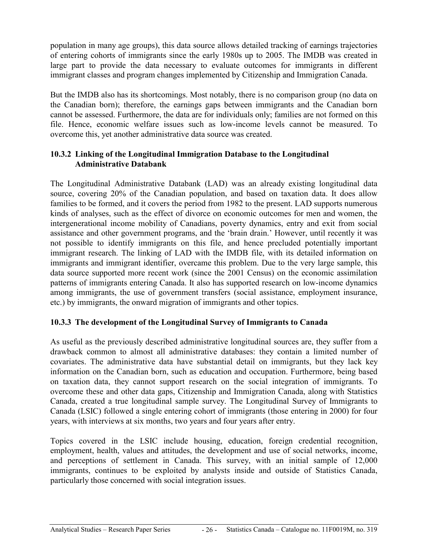<span id="page-25-0"></span>population in many age groups), this data source allows detailed tracking of earnings trajectories of entering cohorts of immigrants since the early 1980s up to 2005. The IMDB was created in large part to provide the data necessary to evaluate outcomes for immigrants in different immigrant classes and program changes implemented by Citizenship and Immigration Canada.

But the IMDB also has its shortcomings. Most notably, there is no comparison group (no data on the Canadian born); therefore, the earnings gaps between immigrants and the Canadian born cannot be assessed. Furthermore, the data are for individuals only; families are not formed on this file. Hence, economic welfare issues such as low-income levels cannot be measured. To overcome this, yet another administrative data source was created.

#### **10.3.2 Linking of the Longitudinal Immigration Database to the Longitudinal Administrative Databank**

The Longitudinal Administrative Databank (LAD) was an already existing longitudinal data source, covering 20% of the Canadian population, and based on taxation data. It does allow families to be formed, and it covers the period from 1982 to the present. LAD supports numerous kinds of analyses, such as the effect of divorce on economic outcomes for men and women, the intergenerational income mobility of Canadians, poverty dynamics, entry and exit from social assistance and other government programs, and the 'brain drain.' However, until recently it was not possible to identify immigrants on this file, and hence precluded potentially important immigrant research. The linking of LAD with the IMDB file, with its detailed information on immigrants and immigrant identifier, overcame this problem. Due to the very large sample, this data source supported more recent work (since the 2001 Census) on the economic assimilation patterns of immigrants entering Canada. It also has supported research on low-income dynamics among immigrants, the use of government transfers (social assistance, employment insurance, etc.) by immigrants, the onward migration of immigrants and other topics.

#### **10.3.3 The development of the Longitudinal Survey of Immigrants to Canada**

As useful as the previously described administrative longitudinal sources are, they suffer from a drawback common to almost all administrative databases: they contain a limited number of covariates. The administrative data have substantial detail on immigrants, but they lack key information on the Canadian born, such as education and occupation. Furthermore, being based on taxation data, they cannot support research on the social integration of immigrants. To overcome these and other data gaps, Citizenship and Immigration Canada, along with Statistics Canada, created a true longitudinal sample survey. The Longitudinal Survey of Immigrants to Canada (LSIC) followed a single entering cohort of immigrants (those entering in 2000) for four years, with interviews at six months, two years and four years after entry.

Topics covered in the LSIC include housing, education, foreign credential recognition, employment, health, values and attitudes, the development and use of social networks, income, and perceptions of settlement in Canada. This survey, with an initial sample of 12,000 immigrants, continues to be exploited by analysts inside and outside of Statistics Canada, particularly those concerned with social integration issues.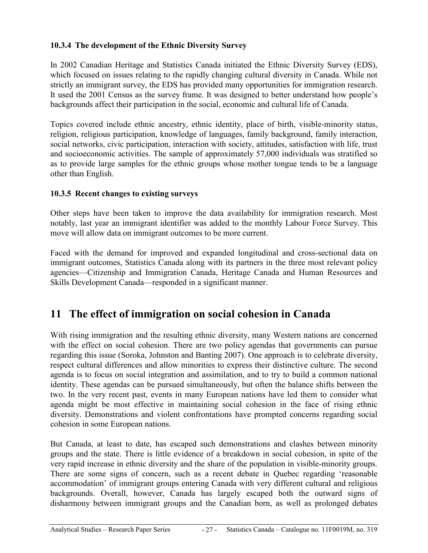#### <span id="page-26-0"></span>**10.3.4 The development of the Ethnic Diversity Survey**

In 2002 Canadian Heritage and Statistics Canada initiated the Ethnic Diversity Survey (EDS), which focused on issues relating to the rapidly changing cultural diversity in Canada. While not strictly an immigrant survey, the EDS has provided many opportunities for immigration research. It used the 2001 Census as the survey frame. It was designed to better understand how people's backgrounds affect their participation in the social, economic and cultural life of Canada.

Topics covered include ethnic ancestry, ethnic identity, place of birth, visible-minority status, religion, religious participation, knowledge of languages, family background, family interaction, social networks, civic participation, interaction with society, attitudes, satisfaction with life, trust and socioeconomic activities. The sample of approximately 57,000 individuals was stratified so as to provide large samples for the ethnic groups whose mother tongue tends to be a language other than English.

#### **10.3.5 Recent changes to existing surveys**

Other steps have been taken to improve the data availability for immigration research. Most notably, last year an immigrant identifier was added to the monthly Labour Force Survey. This move will allow data on immigrant outcomes to be more current.

Faced with the demand for improved and expanded longitudinal and cross-sectional data on immigrant outcomes, Statistics Canada along with its partners in the three most relevant policy agencies—Citizenship and Immigration Canada, Heritage Canada and Human Resources and Skills Development Canada—responded in a significant manner.

### **11 The effect of immigration on social cohesion in Canada**

With rising immigration and the resulting ethnic diversity, many Western nations are concerned with the effect on social cohesion. There are two policy agendas that governments can pursue regarding this issue (Soroka, Johnston and Banting 2007). One approach is to celebrate diversity, respect cultural differences and allow minorities to express their distinctive culture. The second agenda is to focus on social integration and assimilation, and to try to build a common national identity. These agendas can be pursued simultaneously, but often the balance shifts between the two. In the very recent past, events in many European nations have led them to consider what agenda might be most effective in maintaining social cohesion in the face of rising ethnic diversity. Demonstrations and violent confrontations have prompted concerns regarding social cohesion in some European nations.

But Canada, at least to date, has escaped such demonstrations and clashes between minority groups and the state. There is little evidence of a breakdown in social cohesion, in spite of the very rapid increase in ethnic diversity and the share of the population in visible-minority groups. There are some signs of concern, such as a recent debate in Quebec regarding 'reasonable accommodation' of immigrant groups entering Canada with very different cultural and religious backgrounds. Overall, however, Canada has largely escaped both the outward signs of disharmony between immigrant groups and the Canadian born, as well as prolonged debates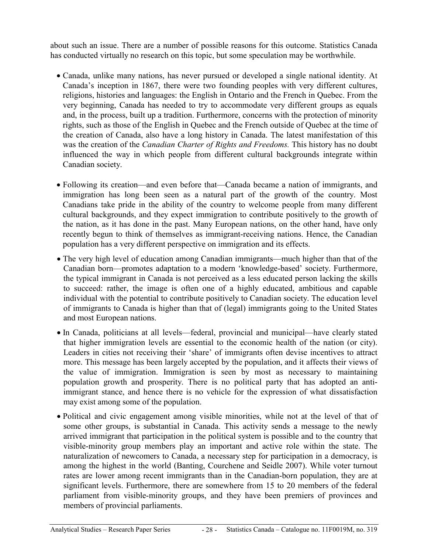about such an issue. There are a number of possible reasons for this outcome. Statistics Canada has conducted virtually no research on this topic, but some speculation may be worthwhile.

- Canada, unlike many nations, has never pursued or developed a single national identity. At Canada's inception in 1867, there were two founding peoples with very different cultures, religions, histories and languages: the English in Ontario and the French in Quebec. From the very beginning, Canada has needed to try to accommodate very different groups as equals and, in the process, built up a tradition. Furthermore, concerns with the protection of minority rights, such as those of the English in Quebec and the French outside of Quebec at the time of the creation of Canada, also have a long history in Canada. The latest manifestation of this was the creation of the *Canadian Charter of Rights and Freedoms.* This history has no doubt influenced the way in which people from different cultural backgrounds integrate within Canadian society.
- Following its creation—and even before that—Canada became a nation of immigrants, and immigration has long been seen as a natural part of the growth of the country. Most Canadians take pride in the ability of the country to welcome people from many different cultural backgrounds, and they expect immigration to contribute positively to the growth of the nation, as it has done in the past. Many European nations, on the other hand, have only recently begun to think of themselves as immigrant-receiving nations. Hence, the Canadian population has a very different perspective on immigration and its effects.
- The very high level of education among Canadian immigrants—much higher than that of the Canadian born—promotes adaptation to a modern 'knowledge-based' society. Furthermore, the typical immigrant in Canada is not perceived as a less educated person lacking the skills to succeed: rather, the image is often one of a highly educated, ambitious and capable individual with the potential to contribute positively to Canadian society. The education level of immigrants to Canada is higher than that of (legal) immigrants going to the United States and most European nations.
- In Canada, politicians at all levels—federal, provincial and municipal—have clearly stated that higher immigration levels are essential to the economic health of the nation (or city). Leaders in cities not receiving their 'share' of immigrants often devise incentives to attract more. This message has been largely accepted by the population, and it affects their views of the value of immigration. Immigration is seen by most as necessary to maintaining population growth and prosperity. There is no political party that has adopted an antiimmigrant stance, and hence there is no vehicle for the expression of what dissatisfaction may exist among some of the population.
- Political and civic engagement among visible minorities, while not at the level of that of some other groups, is substantial in Canada. This activity sends a message to the newly arrived immigrant that participation in the political system is possible and to the country that visible-minority group members play an important and active role within the state. The naturalization of newcomers to Canada, a necessary step for participation in a democracy, is among the highest in the world (Banting, Courchene and Seidle 2007). While voter turnout rates are lower among recent immigrants than in the Canadian-born population, they are at significant levels. Furthermore, there are somewhere from 15 to 20 members of the federal parliament from visible-minority groups, and they have been premiers of provinces and members of provincial parliaments.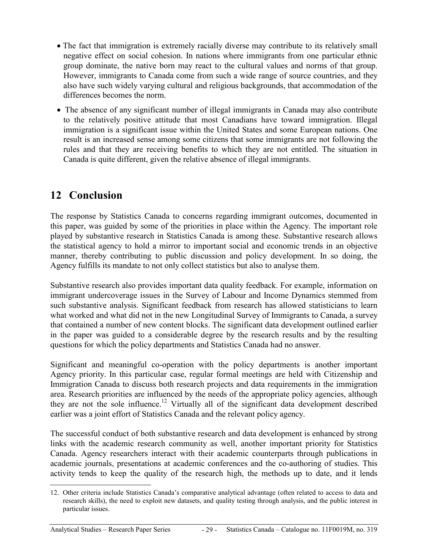- <span id="page-28-0"></span>• The fact that immigration is extremely racially diverse may contribute to its relatively small negative effect on social cohesion. In nations where immigrants from one particular ethnic group dominate, the native born may react to the cultural values and norms of that group. However, immigrants to Canada come from such a wide range of source countries, and they also have such widely varying cultural and religious backgrounds, that accommodation of the differences becomes the norm.
- The absence of any significant number of illegal immigrants in Canada may also contribute to the relatively positive attitude that most Canadians have toward immigration. Illegal immigration is a significant issue within the United States and some European nations. One result is an increased sense among some citizens that some immigrants are not following the rules and that they are receiving benefits to which they are not entitled. The situation in Canada is quite different, given the relative absence of illegal immigrants.

### **12 Conclusion**

The response by Statistics Canada to concerns regarding immigrant outcomes, documented in this paper, was guided by some of the priorities in place within the Agency. The important role played by substantive research in Statistics Canada is among these. Substantive research allows the statistical agency to hold a mirror to important social and economic trends in an objective manner, thereby contributing to public discussion and policy development. In so doing, the Agency fulfills its mandate to not only collect statistics but also to analyse them.

Substantive research also provides important data quality feedback. For example, information on immigrant undercoverage issues in the Survey of Labour and Income Dynamics stemmed from such substantive analysis. Significant feedback from research has allowed statisticians to learn what worked and what did not in the new Longitudinal Survey of Immigrants to Canada, a survey that contained a number of new content blocks. The significant data development outlined earlier in the paper was guided to a considerable degree by the research results and by the resulting questions for which the policy departments and Statistics Canada had no answer.

Significant and meaningful co-operation with the policy departments is another important Agency priority. In this particular case, regular formal meetings are held with Citizenship and Immigration Canada to discuss both research projects and data requirements in the immigration area. Research priorities are influenced by the needs of the appropriate policy agencies, although they are not the sole influence.12 Virtually all of the significant data development described earlier was a joint effort of Statistics Canada and the relevant policy agency.

The successful conduct of both substantive research and data development is enhanced by strong links with the academic research community as well, another important priority for Statistics Canada. Agency researchers interact with their academic counterparts through publications in academic journals, presentations at academic conferences and the co-authoring of studies. This activity tends to keep the quality of the research high, the methods up to date, and it lends

-

<sup>12.</sup> Other criteria include Statistics Canada's comparative analytical advantage (often related to access to data and research skills), the need to exploit new datasets, and quality testing through analysis, and the public interest in particular issues.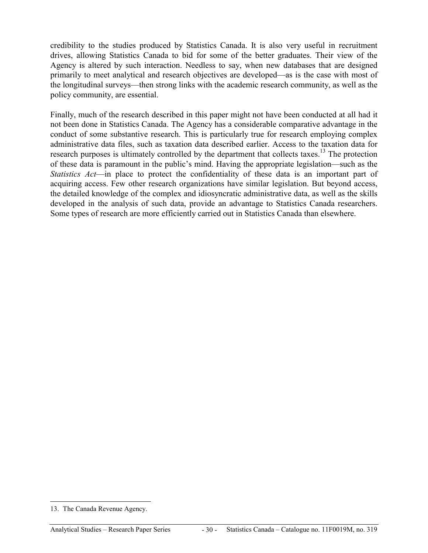credibility to the studies produced by Statistics Canada. It is also very useful in recruitment drives, allowing Statistics Canada to bid for some of the better graduates. Their view of the Agency is altered by such interaction. Needless to say, when new databases that are designed primarily to meet analytical and research objectives are developed—as is the case with most of the longitudinal surveys—then strong links with the academic research community, as well as the policy community, are essential.

Finally, much of the research described in this paper might not have been conducted at all had it not been done in Statistics Canada. The Agency has a considerable comparative advantage in the conduct of some substantive research. This is particularly true for research employing complex administrative data files, such as taxation data described earlier. Access to the taxation data for research purposes is ultimately controlled by the department that collects taxes.<sup>13</sup> The protection of these data is paramount in the public's mind. Having the appropriate legislation—such as the *Statistics Act*—in place to protect the confidentiality of these data is an important part of acquiring access. Few other research organizations have similar legislation. But beyond access, the detailed knowledge of the complex and idiosyncratic administrative data, as well as the skills developed in the analysis of such data, provide an advantage to Statistics Canada researchers. Some types of research are more efficiently carried out in Statistics Canada than elsewhere.

-

<sup>13.</sup> The Canada Revenue Agency.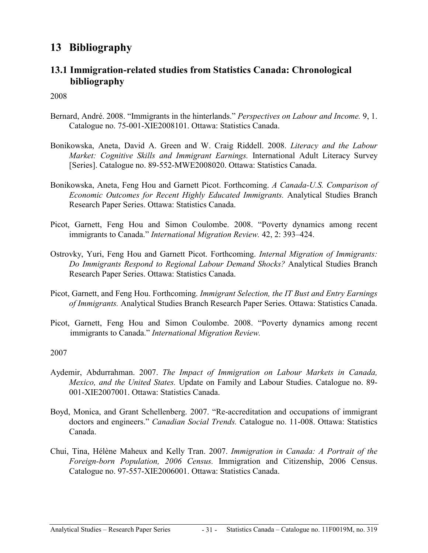### <span id="page-30-0"></span>**13 Bibliography**

#### **13.1 Immigration-related studies from Statistics Canada: Chronological bibliography**

2008

- Bernard, André. 2008. "Immigrants in the hinterlands." *Perspectives on Labour and Income.* 9, 1. Catalogue no. 75-001-XIE2008101. Ottawa: Statistics Canada.
- Bonikowska, Aneta, David A. Green and W. Craig Riddell. 2008. *Literacy and the Labour Market: Cognitive Skills and Immigrant Earnings.* International Adult Literacy Survey [Series]. Catalogue no. 89-552-MWE2008020. Ottawa: Statistics Canada.
- Bonikowska, Aneta, Feng Hou and Garnett Picot. Forthcoming. *A Canada-U.S. Comparison of Economic Outcomes for Recent Highly Educated Immigrants.* Analytical Studies Branch Research Paper Series. Ottawa: Statistics Canada.
- Picot, Garnett, Feng Hou and Simon Coulombe. 2008. "Poverty dynamics among recent immigrants to Canada." *International Migration Review.* 42, 2: 393–424.
- Ostrovky, Yuri, Feng Hou and Garnett Picot. Forthcoming. *Internal Migration of Immigrants: Do Immigrants Respond to Regional Labour Demand Shocks?* Analytical Studies Branch Research Paper Series. Ottawa: Statistics Canada.
- Picot, Garnett, and Feng Hou. Forthcoming. *Immigrant Selection, the IT Bust and Entry Earnings of Immigrants.* Analytical Studies Branch Research Paper Series. Ottawa: Statistics Canada.
- Picot, Garnett, Feng Hou and Simon Coulombe. 2008. "Poverty dynamics among recent immigrants to Canada." *International Migration Review.*

- Aydemir, Abdurrahman. 2007. *The Impact of Immigration on Labour Markets in Canada, Mexico, and the United States.* Update on Family and Labour Studies. Catalogue no. 89- 001-XIE2007001. Ottawa: Statistics Canada.
- Boyd, Monica, and Grant Schellenberg. 2007. "Re-accreditation and occupations of immigrant doctors and engineers." *Canadian Social Trends.* Catalogue no. 11-008. Ottawa: Statistics Canada.
- Chui, Tina, Hélène Maheux and Kelly Tran. 2007. *Immigration in Canada: A Portrait of the Foreign-born Population, 2006 Census.* Immigration and Citizenship, 2006 Census. Catalogue no. 97-557-XIE2006001. Ottawa: Statistics Canada.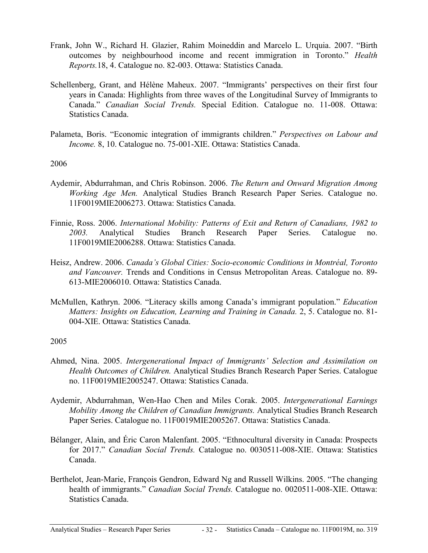- Frank, John W., Richard H. Glazier, Rahim Moineddin and Marcelo L. Urquia. 2007. "Birth outcomes by neighbourhood income and recent immigration in Toronto." *Health Reports.*18, 4. Catalogue no. 82-003. Ottawa: Statistics Canada.
- Schellenberg, Grant, and Hélène Maheux. 2007. "Immigrants' perspectives on their first four years in Canada: Highlights from three waves of the Longitudinal Survey of Immigrants to Canada." *Canadian Social Trends.* Special Edition. Catalogue no. 11-008. Ottawa: Statistics Canada.
- Palameta, Boris. "Economic integration of immigrants children." *Perspectives on Labour and Income.* 8, 10. Catalogue no. 75-001-XIE. Ottawa: Statistics Canada.

#### 2006

- Aydemir, Abdurrahman, and Chris Robinson. 2006. *The Return and Onward Migration Among Working Age Men.* Analytical Studies Branch Research Paper Series. Catalogue no. 11F0019MIE2006273. Ottawa: Statistics Canada.
- Finnie, Ross. 2006. *International Mobility: Patterns of Exit and Return of Canadians, 1982 to 2003.* Analytical Studies Branch Research Paper Series. Catalogue no. 11F0019MIE2006288. Ottawa: Statistics Canada.
- Heisz, Andrew. 2006. *Canada's Global Cities: Socio-economic Conditions in Montréal, Toronto and Vancouver.* Trends and Conditions in Census Metropolitan Areas. Catalogue no. 89- 613-MIE2006010. Ottawa: Statistics Canada.
- McMullen, Kathryn. 2006. "Literacy skills among Canada's immigrant population." *Education Matters: Insights on Education, Learning and Training in Canada.* 2, 5. Catalogue no. 81- 004-XIE. Ottawa: Statistics Canada.

- Ahmed, Nina. 2005. *Intergenerational Impact of Immigrants' Selection and Assimilation on Health Outcomes of Children.* Analytical Studies Branch Research Paper Series. Catalogue no. 11F0019MIE2005247. Ottawa: Statistics Canada.
- Aydemir, Abdurrahman, Wen-Hao Chen and Miles Corak. 2005. *Intergenerational Earnings Mobility Among the Children of Canadian Immigrants.* Analytical Studies Branch Research Paper Series. Catalogue no. 11F0019MIE2005267. Ottawa: Statistics Canada.
- Bélanger, Alain, and Éric Caron Malenfant. 2005. "Ethnocultural diversity in Canada: Prospects for 2017." *Canadian Social Trends.* Catalogue no. 0030511-008-XIE. Ottawa: Statistics Canada.
- Berthelot, Jean-Marie, François Gendron, Edward Ng and Russell Wilkins. 2005. "The changing health of immigrants." *Canadian Social Trends.* Catalogue no. 0020511-008-XIE. Ottawa: Statistics Canada.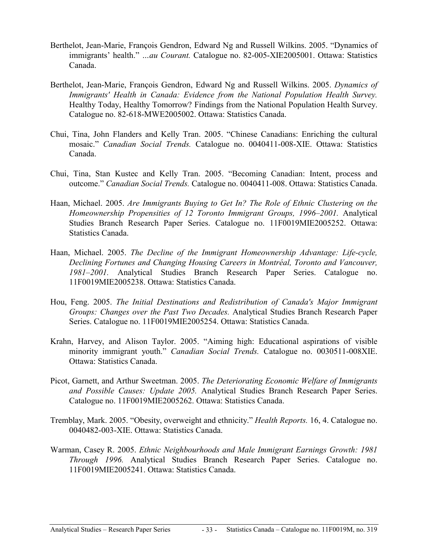- Berthelot, Jean-Marie, François Gendron, Edward Ng and Russell Wilkins. 2005. "Dynamics of immigrants' health." *…au Courant.* Catalogue no. 82-005-XIE2005001. Ottawa: Statistics Canada.
- Berthelot, Jean-Marie, François Gendron, Edward Ng and Russell Wilkins. 2005. *Dynamics of Immigrants' Health in Canada: Evidence from the National Population Health Survey.* Healthy Today, Healthy Tomorrow? Findings from the National Population Health Survey. Catalogue no. 82-618-MWE2005002. Ottawa: Statistics Canada.
- Chui, Tina, John Flanders and Kelly Tran. 2005. "Chinese Canadians: Enriching the cultural mosaic." *Canadian Social Trends.* Catalogue no. 0040411-008-XIE. Ottawa: Statistics Canada.
- Chui, Tina, Stan Kustec and Kelly Tran. 2005. "Becoming Canadian: Intent, process and outcome." *Canadian Social Trends.* Catalogue no. 0040411-008. Ottawa: Statistics Canada.
- Haan, Michael. 2005. *Are Immigrants Buying to Get In? The Role of Ethnic Clustering on the Homeownership Propensities of 12 Toronto Immigrant Groups, 1996–2001.* Analytical Studies Branch Research Paper Series. Catalogue no. 11F0019MIE2005252. Ottawa: Statistics Canada.
- Haan, Michael. 2005. *The Decline of the Immigrant Homeownership Advantage: Life-cycle, Declining Fortunes and Changing Housing Careers in Montréal, Toronto and Vancouver, 1981–2001.* Analytical Studies Branch Research Paper Series. Catalogue no. 11F0019MIE2005238. Ottawa: Statistics Canada.
- Hou, Feng. 2005. *The Initial Destinations and Redistribution of Canada's Major Immigrant Groups: Changes over the Past Two Decades.* Analytical Studies Branch Research Paper Series. Catalogue no. 11F0019MIE2005254. Ottawa: Statistics Canada.
- Krahn, Harvey, and Alison Taylor. 2005. "Aiming high: Educational aspirations of visible minority immigrant youth." *Canadian Social Trends.* Catalogue no. 0030511-008XIE. Ottawa: Statistics Canada.
- Picot, Garnett, and Arthur Sweetman. 2005. *The Deteriorating Economic Welfare of Immigrants and Possible Causes: Update 2005.* Analytical Studies Branch Research Paper Series. Catalogue no. 11F0019MIE2005262. Ottawa: Statistics Canada.
- Tremblay, Mark. 2005. "Obesity, overweight and ethnicity." *Health Reports.* 16, 4. Catalogue no. 0040482-003-XIE. Ottawa: Statistics Canada.
- Warman, Casey R. 2005. *Ethnic Neighbourhoods and Male Immigrant Earnings Growth: 1981 Through 1996.* Analytical Studies Branch Research Paper Series. Catalogue no. 11F0019MIE2005241. Ottawa: Statistics Canada.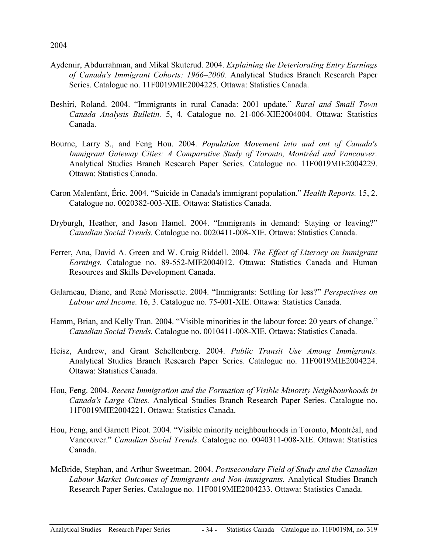- Aydemir, Abdurrahman, and Mikal Skuterud. 2004. *Explaining the Deteriorating Entry Earnings of Canada's Immigrant Cohorts: 1966–2000.* Analytical Studies Branch Research Paper Series. Catalogue no. 11F0019MIE2004225. Ottawa: Statistics Canada.
- Beshiri, Roland. 2004. "Immigrants in rural Canada: 2001 update." *Rural and Small Town Canada Analysis Bulletin.* 5, 4. Catalogue no. 21-006-XIE2004004. Ottawa: Statistics Canada.
- Bourne, Larry S., and Feng Hou. 2004. *Population Movement into and out of Canada's Immigrant Gateway Cities: A Comparative Study of Toronto, Montréal and Vancouver.* Analytical Studies Branch Research Paper Series. Catalogue no. 11F0019MIE2004229. Ottawa: Statistics Canada.
- Caron Malenfant, Éric. 2004. "Suicide in Canada's immigrant population." *Health Reports.* 15, 2. Catalogue no. 0020382-003-XIE. Ottawa: Statistics Canada.
- Dryburgh, Heather, and Jason Hamel. 2004. "Immigrants in demand: Staying or leaving?" *Canadian Social Trends.* Catalogue no. 0020411-008-XIE. Ottawa: Statistics Canada.
- Ferrer, Ana, David A. Green and W. Craig Riddell. 2004. *The Effect of Literacy on Immigrant Earnings.* Catalogue no. 89-552-MIE2004012. Ottawa: Statistics Canada and Human Resources and Skills Development Canada.
- Galarneau, Diane, and René Morissette. 2004. "Immigrants: Settling for less?" *Perspectives on Labour and Income.* 16, 3. Catalogue no. 75-001-XIE. Ottawa: Statistics Canada.
- Hamm, Brian, and Kelly Tran. 2004. "Visible minorities in the labour force: 20 years of change." *Canadian Social Trends.* Catalogue no. 0010411-008-XIE. Ottawa: Statistics Canada.
- Heisz, Andrew, and Grant Schellenberg. 2004. *Public Transit Use Among Immigrants.* Analytical Studies Branch Research Paper Series. Catalogue no. 11F0019MIE2004224. Ottawa: Statistics Canada.
- Hou, Feng. 2004. *Recent Immigration and the Formation of Visible Minority Neighbourhoods in Canada's Large Cities.* Analytical Studies Branch Research Paper Series. Catalogue no. 11F0019MIE2004221. Ottawa: Statistics Canada.
- Hou, Feng, and Garnett Picot. 2004. "Visible minority neighbourhoods in Toronto, Montréal, and Vancouver." *Canadian Social Trends.* Catalogue no. 0040311-008-XIE. Ottawa: Statistics Canada.
- McBride, Stephan, and Arthur Sweetman. 2004. *Postsecondary Field of Study and the Canadian Labour Market Outcomes of Immigrants and Non-immigrants.* Analytical Studies Branch Research Paper Series. Catalogue no. 11F0019MIE2004233. Ottawa: Statistics Canada.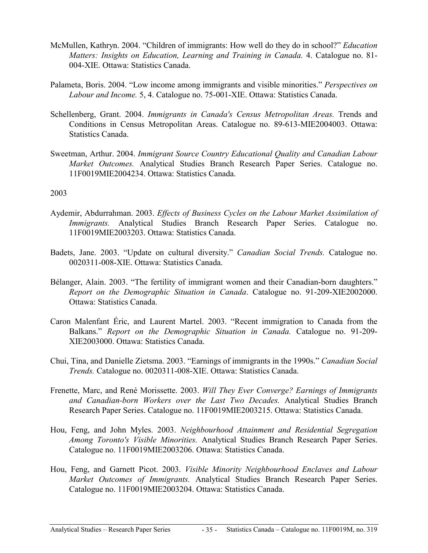- McMullen, Kathryn. 2004. "Children of immigrants: How well do they do in school?" *Education Matters: Insights on Education, Learning and Training in Canada.* 4. Catalogue no. 81- 004-XIE. Ottawa: Statistics Canada.
- Palameta, Boris. 2004. "Low income among immigrants and visible minorities." *Perspectives on Labour and Income.* 5, 4. Catalogue no. 75-001-XIE. Ottawa: Statistics Canada.
- Schellenberg, Grant. 2004. *Immigrants in Canada's Census Metropolitan Areas.* Trends and Conditions in Census Metropolitan Areas. Catalogue no. 89-613-MIE2004003. Ottawa: Statistics Canada.
- Sweetman, Arthur. 2004. *Immigrant Source Country Educational Quality and Canadian Labour Market Outcomes.* Analytical Studies Branch Research Paper Series. Catalogue no. 11F0019MIE2004234. Ottawa: Statistics Canada.

- Aydemir, Abdurrahman. 2003. *Effects of Business Cycles on the Labour Market Assimilation of Immigrants.* Analytical Studies Branch Research Paper Series. Catalogue no. 11F0019MIE2003203. Ottawa: Statistics Canada.
- Badets, Jane. 2003. "Update on cultural diversity." *Canadian Social Trends.* Catalogue no. 0020311-008-XIE. Ottawa: Statistics Canada.
- Bélanger, Alain. 2003. "The fertility of immigrant women and their Canadian-born daughters." *Report on the Demographic Situation in Canada*. Catalogue no. 91-209-XIE2002000. Ottawa: Statistics Canada.
- Caron Malenfant Éric, and Laurent Martel. 2003. "Recent immigration to Canada from the Balkans." *Report on the Demographic Situation in Canada.* Catalogue no. 91-209- XIE2003000. Ottawa: Statistics Canada.
- Chui, Tina, and Danielle Zietsma. 2003. "Earnings of immigrants in the 1990s." *Canadian Social Trends.* Catalogue no. 0020311-008-XIE. Ottawa: Statistics Canada.
- Frenette, Marc, and René Morissette. 2003. *Will They Ever Converge? Earnings of Immigrants and Canadian-born Workers over the Last Two Decades.* Analytical Studies Branch Research Paper Series. Catalogue no. 11F0019MIE2003215. Ottawa: Statistics Canada.
- Hou, Feng, and John Myles. 2003. *Neighbourhood Attainment and Residential Segregation Among Toronto's Visible Minorities.* Analytical Studies Branch Research Paper Series. Catalogue no. 11F0019MIE2003206. Ottawa: Statistics Canada.
- Hou, Feng, and Garnett Picot. 2003. *Visible Minority Neighbourhood Enclaves and Labour Market Outcomes of Immigrants.* Analytical Studies Branch Research Paper Series. Catalogue no. 11F0019MIE2003204. Ottawa: Statistics Canada.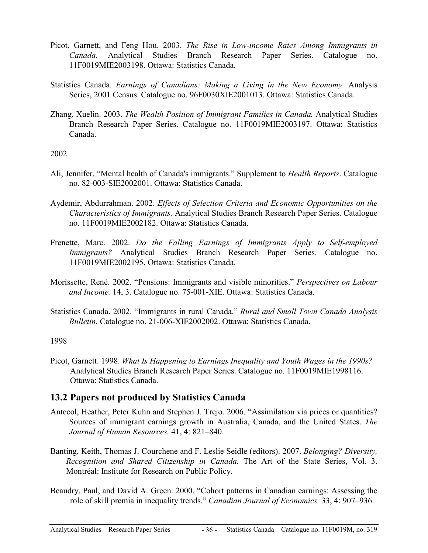- <span id="page-35-0"></span>Picot, Garnett, and Feng Hou. 2003. *The Rise in Low-income Rates Among Immigrants in Canada.* Analytical Studies Branch Research Paper Series. Catalogue no. 11F0019MIE2003198. Ottawa: Statistics Canada.
- Statistics Canada. *Earnings of Canadians: Making a Living in the New Economy.* Analysis Series, 2001 Census. Catalogue no. 96F0030XIE2001013. Ottawa: Statistics Canada.
- Zhang, Xuelin. 2003. *The Wealth Position of Immigrant Families in Canada.* Analytical Studies Branch Research Paper Series. Catalogue no. 11F0019MIE2003197. Ottawa: Statistics Canada.

#### 2002

- Ali, Jennifer. "Mental health of Canada's immigrants." Supplement to *Health Reports*. Catalogue no. 82-003-SIE2002001. Ottawa: Statistics Canada.
- Aydemir, Abdurrahman. 2002. *Effects of Selection Criteria and Economic Opportunities on the Characteristics of Immigrants.* Analytical Studies Branch Research Paper Series. Catalogue no. 11F0019MIE2002182. Ottawa: Statistics Canada.
- Frenette, Marc. 2002. *Do the Falling Earnings of Immigrants Apply to Self-employed Immigrants?* Analytical Studies Branch Research Paper Series. Catalogue no. 11F0019MIE2002195. Ottawa: Statistics Canada.
- Morissette, René. 2002. "Pensions: Immigrants and visible minorities." *Perspectives on Labour and Income.* 14, 3. Catalogue no. 75-001-XIE. Ottawa: Statistics Canada.
- Statistics Canada. 2002. "Immigrants in rural Canada." *Rural and Small Town Canada Analysis Bulletin.* Catalogue no. 21-006-XIE2002002. Ottawa: Statistics Canada.

#### 1998

Picot, Garnett. 1998. *What Is Happening to Earnings Inequality and Youth Wages in the 1990s?* Analytical Studies Branch Research Paper Series. Catalogue no. 11F0019MIE1998116. Ottawa: Statistics Canada.

#### **13.2 Papers not produced by Statistics Canada**

- Antecol, Heather, Peter Kuhn and Stephen J. Trejo. 2006. "Assimilation via prices or quantities? Sources of immigrant earnings growth in Australia, Canada, and the United States. *The Journal of Human Resources.* 41, 4: 821–840.
- Banting, Keith, Thomas J. Courchene and F. Leslie Seidle (editors). 2007. *Belonging? Diversity, Recognition and Shared Citizenship in Canada.* The Art of the State Series, Vol. 3. Montréal: Institute for Research on Public Policy.
- Beaudry, Paul, and David A. Green. 2000. "Cohort patterns in Canadian earnings: Assessing the role of skill premia in inequality trends." *Canadian Journal of Economics.* 33, 4: 907–936.